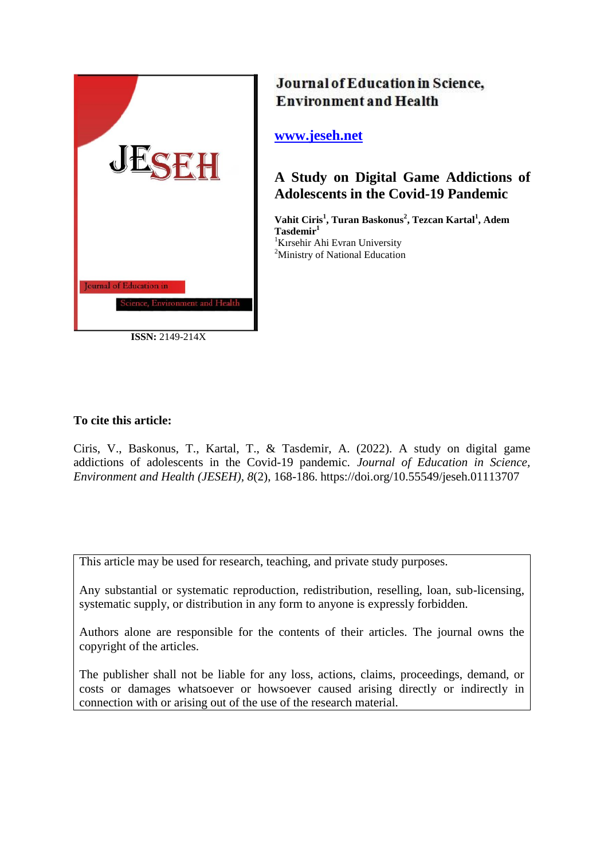

Journal of Education in Science, **Environment and Health** 

## **[www.jeseh.net](file:///C:/Users/mustafa/Desktop/www.jeseh.net)**

# **A Study on Digital Game Addictions of Adolescents in the Covid-19 Pandemic**

**Vahit Ciris<sup>1</sup> , Turan Baskonus<sup>2</sup> , Tezcan Kartal<sup>1</sup> , Adem Tasdemir<sup>1</sup>** <sup>1</sup>Kırsehir Ahi Evran University <sup>2</sup>Ministry of National Education

## **To cite this article:**

Ciris, V., Baskonus, T., Kartal, T., & Tasdemir, A. (2022). A study on digital game addictions of adolescents in the Covid-19 pandemic. *Journal of Education in Science, Environment and Health (JESEH), 8*(2), 168-186. https://doi.org/10.55549/jeseh.01113707

This article may be used for research, teaching, and private study purposes.

Any substantial or systematic reproduction, redistribution, reselling, loan, sub-licensing, systematic supply, or distribution in any form to anyone is expressly forbidden.

Authors alone are responsible for the contents of their articles. The journal owns the copyright of the articles.

The publisher shall not be liable for any loss, actions, claims, proceedings, demand, or costs or damages whatsoever or howsoever caused arising directly or indirectly in connection with or arising out of the use of the research material.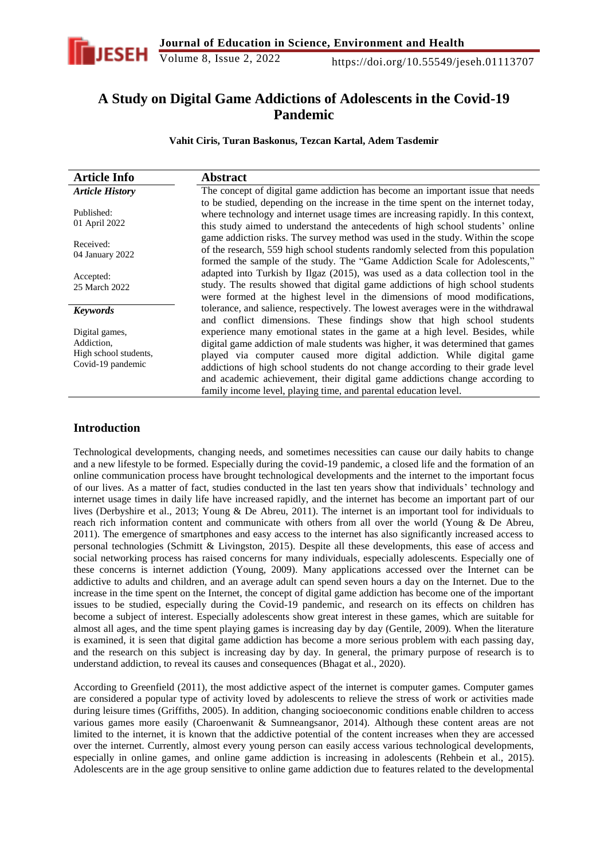

## **A Study on Digital Game Addictions of Adolescents in the Covid-19 Pandemic**

**Vahit Ciris, Turan Baskonus, Tezcan Kartal, Adem Tasdemir**

| <b>Article Info</b>          | <b>Abstract</b>                                                                                                                                                                                                                                           |
|------------------------------|-----------------------------------------------------------------------------------------------------------------------------------------------------------------------------------------------------------------------------------------------------------|
| <b>Article History</b>       | The concept of digital game addiction has become an important issue that needs                                                                                                                                                                            |
| Published:<br>01 April 2022  | to be studied, depending on the increase in the time spent on the internet today,<br>where technology and internet usage times are increasing rapidly. In this context,<br>this study aimed to understand the antecedents of high school students' online |
| Received:<br>04 January 2022 | game addiction risks. The survey method was used in the study. Within the scope<br>of the research, 559 high school students randomly selected from this population<br>formed the sample of the study. The "Game Addiction Scale for Adolescents,"        |
| Accepted:<br>25 March 2022   | adapted into Turkish by Ilgaz (2015), was used as a data collection tool in the<br>study. The results showed that digital game addictions of high school students<br>were formed at the highest level in the dimensions of mood modifications,            |
| <b>Keywords</b>              | tolerance, and salience, respectively. The lowest averages were in the withdrawal<br>and conflict dimensions. These findings show that high school students                                                                                               |
| Digital games,               | experience many emotional states in the game at a high level. Besides, while                                                                                                                                                                              |
| Addiction,                   | digital game addiction of male students was higher, it was determined that games                                                                                                                                                                          |
| High school students,        | played via computer caused more digital addiction. While digital game                                                                                                                                                                                     |
| Covid-19 pandemic            | addictions of high school students do not change according to their grade level                                                                                                                                                                           |
|                              | and academic achievement, their digital game addictions change according to                                                                                                                                                                               |
|                              | family income level, playing time, and parental education level.                                                                                                                                                                                          |

### **Introduction**

Technological developments, changing needs, and sometimes necessities can cause our daily habits to change and a new lifestyle to be formed. Especially during the covid-19 pandemic, a closed life and the formation of an online communication process have brought technological developments and the internet to the important focus of our lives. As a matter of fact, studies conducted in the last ten years show that individuals' technology and internet usage times in daily life have increased rapidly, and the internet has become an important part of our lives (Derbyshire et al., 2013; Young & De Abreu, 2011). The internet is an important tool for individuals to reach rich information content and communicate with others from all over the world (Young & De Abreu, 2011). The emergence of smartphones and easy access to the internet has also significantly increased access to personal technologies (Schmitt & Livingston, 2015). Despite all these developments, this ease of access and social networking process has raised concerns for many individuals, especially adolescents. Especially one of these concerns is internet addiction (Young, 2009). Many applications accessed over the Internet can be addictive to adults and children, and an average adult can spend seven hours a day on the Internet. Due to the increase in the time spent on the Internet, the concept of digital game addiction has become one of the important issues to be studied, especially during the Covid-19 pandemic, and research on its effects on children has become a subject of interest. Especially adolescents show great interest in these games, which are suitable for almost all ages, and the time spent playing games is increasing day by day (Gentile, 2009). When the literature is examined, it is seen that digital game addiction has become a more serious problem with each passing day, and the research on this subject is increasing day by day. In general, the primary purpose of research is to understand addiction, to reveal its causes and consequences (Bhagat et al., 2020).

According to Greenfield (2011), the most addictive aspect of the internet is computer games. Computer games are considered a popular type of activity loved by adolescents to relieve the stress of work or activities made during leisure times (Griffiths, 2005). In addition, changing socioeconomic conditions enable children to access various games more easily (Charoenwanit & Sumneangsanor, 2014). Although these content areas are not limited to the internet, it is known that the addictive potential of the content increases when they are accessed over the internet. Currently, almost every young person can easily access various technological developments, especially in online games, and online game addiction is increasing in adolescents (Rehbein et al., 2015). Adolescents are in the age group sensitive to online game addiction due to features related to the developmental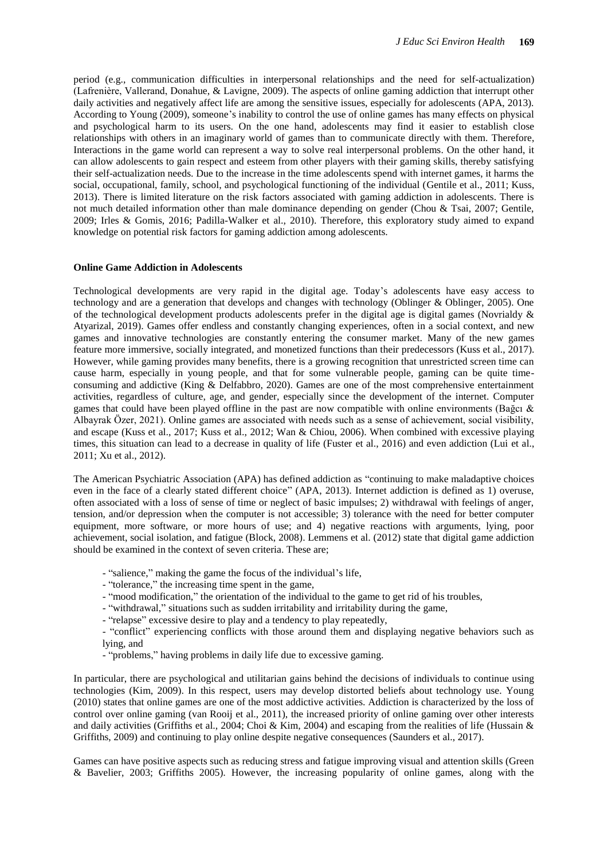period (e.g., communication difficulties in interpersonal relationships and the need for self-actualization) (Lafrenière, Vallerand, Donahue, & Lavigne, 2009). The aspects of online gaming addiction that interrupt other daily activities and negatively affect life are among the sensitive issues, especially for adolescents (APA, 2013). According to Young (2009), someone's inability to control the use of online games has many effects on physical and psychological harm to its users. On the one hand, adolescents may find it easier to establish close relationships with others in an imaginary world of games than to communicate directly with them. Therefore, Interactions in the game world can represent a way to solve real interpersonal problems. On the other hand, it can allow adolescents to gain respect and esteem from other players with their gaming skills, thereby satisfying their self-actualization needs. Due to the increase in the time adolescents spend with internet games, it harms the social, occupational, family, school, and psychological functioning of the individual (Gentile et al., 2011; Kuss, 2013). There is limited literature on the risk factors associated with gaming addiction in adolescents. There is not much detailed information other than male dominance depending on gender (Chou & Tsai, 2007; Gentile, 2009; Irles & Gomis, 2016; Padilla-Walker et al., 2010). Therefore, this exploratory study aimed to expand knowledge on potential risk factors for gaming addiction among adolescents.

#### **Online Game Addiction in Adolescents**

Technological developments are very rapid in the digital age. Today's adolescents have easy access to technology and are a generation that develops and changes with technology (Oblinger & Oblinger, 2005). One of the technological development products adolescents prefer in the digital age is digital games (Novrialdy  $\&$ Atyarizal, 2019). Games offer endless and constantly changing experiences, often in a social context, and new games and innovative technologies are constantly entering the consumer market. Many of the new games feature more immersive, socially integrated, and monetized functions than their predecessors (Kuss et al., 2017). However, while gaming provides many benefits, there is a growing recognition that unrestricted screen time can cause harm, especially in young people, and that for some vulnerable people, gaming can be quite timeconsuming and addictive (King & Delfabbro, 2020). Games are one of the most comprehensive entertainment activities, regardless of culture, age, and gender, especially since the development of the internet. Computer games that could have been played offline in the past are now compatible with online environments (Bağcı  $\&$ Albayrak Özer, 2021). Online games are associated with needs such as a sense of achievement, social visibility, and escape (Kuss et al., 2017; Kuss et al., 2012; Wan & Chiou, 2006). When combined with excessive playing times, this situation can lead to a decrease in quality of life (Fuster et al., 2016) and even addiction (Lui et al., 2011; Xu et al., 2012).

The American Psychiatric Association (APA) has defined addiction as "continuing to make maladaptive choices even in the face of a clearly stated different choice" (APA, 2013). Internet addiction is defined as 1) overuse, often associated with a loss of sense of time or neglect of basic impulses; 2) withdrawal with feelings of anger, tension, and/or depression when the computer is not accessible; 3) tolerance with the need for better computer equipment, more software, or more hours of use; and 4) negative reactions with arguments, lying, poor achievement, social isolation, and fatigue (Block, 2008). Lemmens et al. (2012) state that digital game addiction should be examined in the context of seven criteria. These are;

- "salience," making the game the focus of the individual's life,
- "tolerance," the increasing time spent in the game,
- "mood modification," the orientation of the individual to the game to get rid of his troubles,
- "withdrawal," situations such as sudden irritability and irritability during the game,
- "relapse" excessive desire to play and a tendency to play repeatedly,

- "conflict" experiencing conflicts with those around them and displaying negative behaviors such as lying, and

- "problems," having problems in daily life due to excessive gaming.

In particular, there are psychological and utilitarian gains behind the decisions of individuals to continue using technologies (Kim, 2009). In this respect, users may develop distorted beliefs about technology use. Young (2010) states that online games are one of the most addictive activities. Addiction is characterized by the loss of control over online gaming (van Rooij et al., 2011), the increased priority of online gaming over other interests and daily activities (Griffiths et al., 2004; Choi & Kim, 2004) and escaping from the realities of life (Hussain & Griffiths, 2009) and continuing to play online despite negative consequences (Saunders et al., 2017).

Games can have positive aspects such as reducing stress and fatigue improving visual and attention skills (Green & Bavelier, 2003; Griffiths 2005). However, the increasing popularity of online games, along with the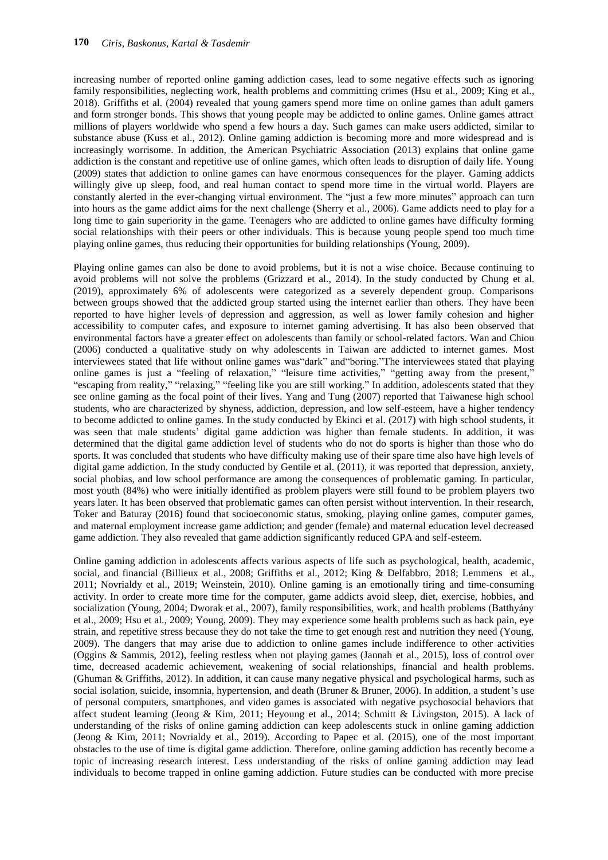increasing number of reported online gaming addiction cases, lead to some negative effects such as ignoring family responsibilities, neglecting work, health problems and committing crimes (Hsu et al., 2009; King et al., 2018). Griffiths et al. (2004) revealed that young gamers spend more time on online games than adult gamers and form stronger bonds. This shows that young people may be addicted to online games. Online games attract millions of players worldwide who spend a few hours a day. Such games can make users addicted, similar to substance abuse (Kuss et al., 2012). Online gaming addiction is becoming more and more widespread and is increasingly worrisome. In addition, the American Psychiatric Association (2013) explains that online game addiction is the constant and repetitive use of online games, which often leads to disruption of daily life. Young (2009) states that addiction to online games can have enormous consequences for the player. Gaming addicts willingly give up sleep, food, and real human contact to spend more time in the virtual world. Players are constantly alerted in the ever-changing virtual environment. The "just a few more minutes" approach can turn into hours as the game addict aims for the next challenge (Sherry et al., 2006). Game addicts need to play for a long time to gain superiority in the game. Teenagers who are addicted to online games have difficulty forming social relationships with their peers or other individuals. This is because young people spend too much time playing online games, thus reducing their opportunities for building relationships (Young, 2009).

Playing online games can also be done to avoid problems, but it is not a wise choice. Because continuing to avoid problems will not solve the problems (Grizzard et al., 2014). In the study conducted by Chung et al. (2019), approximately 6% of adolescents were categorized as a severely dependent group. Comparisons between groups showed that the addicted group started using the internet earlier than others. They have been reported to have higher levels of depression and aggression, as well as lower family cohesion and higher accessibility to computer cafes, and exposure to internet gaming advertising. It has also been observed that environmental factors have a greater effect on adolescents than family or school-related factors. Wan and Chiou (2006) conducted a qualitative study on why adolescents in Taiwan are addicted to internet games. Most interviewees stated that life without online games was"dark" and"boring."The interviewees stated that playing online games is just a "feeling of relaxation," "leisure time activities," "getting away from the present," "escaping from reality," "relaxing," "feeling like you are still working." In addition, adolescents stated that they see online gaming as the focal point of their lives. Yang and Tung (2007) reported that Taiwanese high school students, who are characterized by shyness, addiction, depression, and low self-esteem, have a higher tendency to become addicted to online games. In the study conducted by Ekinci et al. (2017) with high school students, it was seen that male students' digital game addiction was higher than female students. In addition, it was determined that the digital game addiction level of students who do not do sports is higher than those who do sports. It was concluded that students who have difficulty making use of their spare time also have high levels of digital game addiction. In the study conducted by Gentile et al. (2011), it was reported that depression, anxiety, social phobias, and low school performance are among the consequences of problematic gaming. In particular, most youth (84%) who were initially identified as problem players were still found to be problem players two years later. It has been observed that problematic games can often persist without intervention. In their research, Toker and Baturay (2016) found that socioeconomic status, smoking, playing online games, computer games, and maternal employment increase game addiction; and gender (female) and maternal education level decreased game addiction. They also revealed that game addiction significantly reduced GPA and self-esteem.

Online gaming addiction in adolescents affects various aspects of life such as psychological, health, academic, social, and financial (Billieux et al., 2008; Griffiths et al., 2012; King & Delfabbro, 2018; Lemmens et al., 2011; Novrialdy et al., 2019; Weinstein, 2010). Online gaming is an emotionally tiring and time-consuming activity. In order to create more time for the computer, game addicts avoid sleep, diet, exercise, hobbies, and socialization (Young, 2004; Dworak et al., 2007), family responsibilities, work, and health problems (Batthyány et al., 2009; Hsu et al., 2009; Young, 2009). They may experience some health problems such as back pain, eye strain, and repetitive stress because they do not take the time to get enough rest and nutrition they need (Young, 2009). The dangers that may arise due to addiction to online games include indifference to other activities (Oggins & Sammis, 2012), feeling restless when not playing games (Jannah et al., 2015), loss of control over time, decreased academic achievement, weakening of social relationships, financial and health problems. (Ghuman & Griffiths, 2012). In addition, it can cause many negative physical and psychological harms, such as social isolation, suicide, insomnia, hypertension, and death (Bruner & Bruner, 2006). In addition, a student's use of personal computers, smartphones, and video games is associated with negative psychosocial behaviors that affect student learning (Jeong & Kim, 2011; Heyoung et al., 2014; Schmitt & Livingston, 2015). A lack of understanding of the risks of online gaming addiction can keep adolescents stuck in online gaming addiction (Jeong & Kim, 2011; Novrialdy et al., 2019). According to Papec et al. (2015), one of the most important obstacles to the use of time is digital game addiction. Therefore, online gaming addiction has recently become a topic of increasing research interest. Less understanding of the risks of online gaming addiction may lead individuals to become trapped in online gaming addiction. Future studies can be conducted with more precise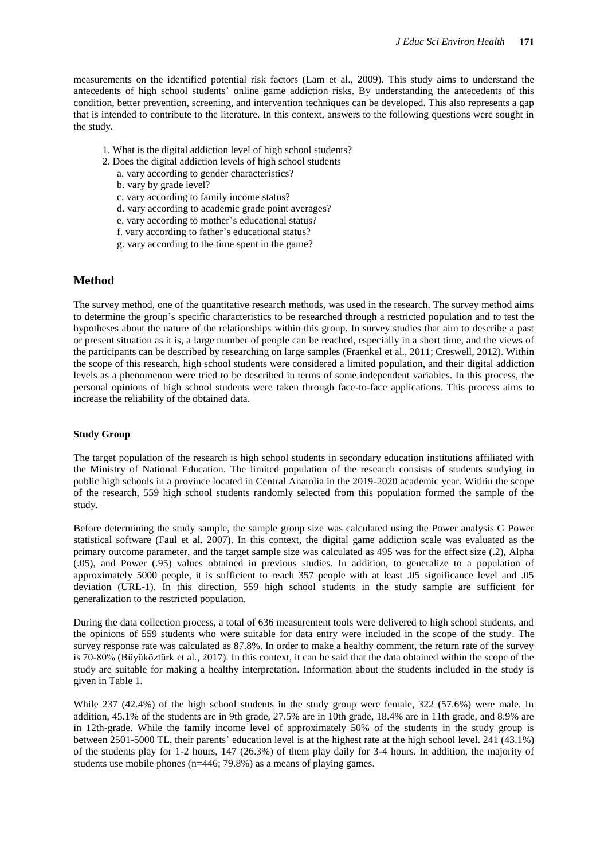measurements on the identified potential risk factors (Lam et al., 2009). This study aims to understand the antecedents of high school students' online game addiction risks. By understanding the antecedents of this condition, better prevention, screening, and intervention techniques can be developed. This also represents a gap that is intended to contribute to the literature. In this context, answers to the following questions were sought in the study.

- 1. What is the digital addiction level of high school students?
- 2. Does the digital addiction levels of high school students
	- a. vary according to gender characteristics?
	- b. vary by grade level?
	- c. vary according to family income status?
	- d. vary according to academic grade point averages?
	- e. vary according to mother's educational status?
	- f. vary according to father's educational status?
	- g. vary according to the time spent in the game?

#### **Method**

The survey method, one of the quantitative research methods, was used in the research. The survey method aims to determine the group's specific characteristics to be researched through a restricted population and to test the hypotheses about the nature of the relationships within this group. In survey studies that aim to describe a past or present situation as it is, a large number of people can be reached, especially in a short time, and the views of the participants can be described by researching on large samples (Fraenkel et al., 2011; Creswell, 2012). Within the scope of this research, high school students were considered a limited population, and their digital addiction levels as a phenomenon were tried to be described in terms of some independent variables. In this process, the personal opinions of high school students were taken through face-to-face applications. This process aims to increase the reliability of the obtained data.

#### **Study Group**

The target population of the research is high school students in secondary education institutions affiliated with the Ministry of National Education. The limited population of the research consists of students studying in public high schools in a province located in Central Anatolia in the 2019-2020 academic year. Within the scope of the research, 559 high school students randomly selected from this population formed the sample of the study.

Before determining the study sample, the sample group size was calculated using the Power analysis G Power statistical software (Faul et al. 2007). In this context, the digital game addiction scale was evaluated as the primary outcome parameter, and the target sample size was calculated as 495 was for the effect size (.2), Alpha (.05), and Power (.95) values obtained in previous studies. In addition, to generalize to a population of approximately 5000 people, it is sufficient to reach 357 people with at least .05 significance level and .05 deviation (URL-1). In this direction, 559 high school students in the study sample are sufficient for generalization to the restricted population.

During the data collection process, a total of 636 measurement tools were delivered to high school students, and the opinions of 559 students who were suitable for data entry were included in the scope of the study. The survey response rate was calculated as 87.8%. In order to make a healthy comment, the return rate of the survey is 70-80% (Büyüköztürk et al., 2017). In this context, it can be said that the data obtained within the scope of the study are suitable for making a healthy interpretation. Information about the students included in the study is given in Table 1.

While 237 (42.4%) of the high school students in the study group were female, 322 (57.6%) were male. In addition, 45.1% of the students are in 9th grade, 27.5% are in 10th grade, 18.4% are in 11th grade, and 8.9% are in 12th-grade. While the family income level of approximately 50% of the students in the study group is between 2501-5000 TL, their parents' education level is at the highest rate at the high school level. 241 (43.1%) of the students play for 1-2 hours, 147 (26.3%) of them play daily for 3-4 hours. In addition, the majority of students use mobile phones (n=446; 79.8%) as a means of playing games.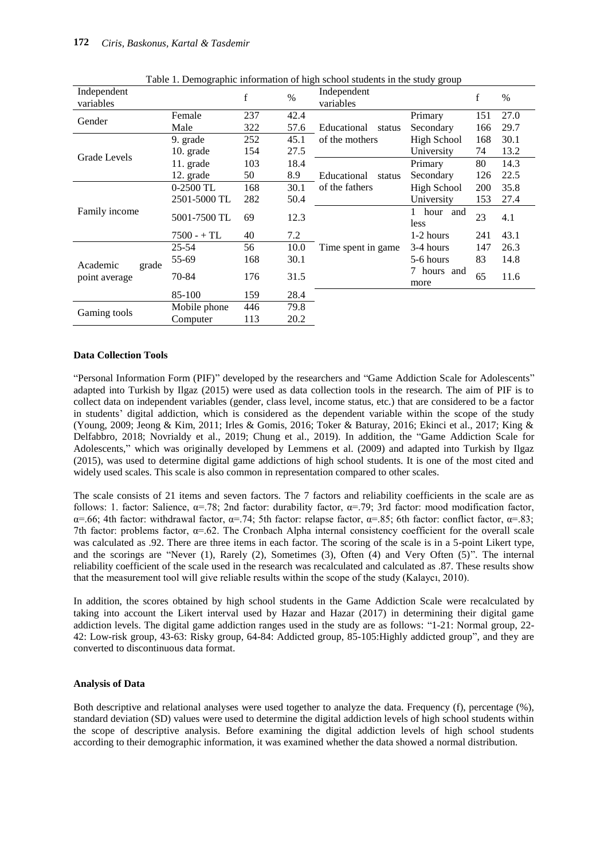| Independent<br>variables           |               | f   | $\frac{0}{0}$ | raoic r. Demographic information or ingli behoor statems in the state y group<br>Independent<br>variables |                     | f   | $\%$ |
|------------------------------------|---------------|-----|---------------|-----------------------------------------------------------------------------------------------------------|---------------------|-----|------|
| Gender                             | Female        | 237 | 42.4          |                                                                                                           | Primary             | 151 | 27.0 |
|                                    | Male          | 322 | 57.6          | Educational<br>status                                                                                     | Secondary           | 166 | 29.7 |
|                                    | 9. grade      | 252 | 45.1          | of the mothers                                                                                            | High School         | 168 | 30.1 |
| Grade Levels                       | $10.$ grade   | 154 | 27.5          |                                                                                                           | University          | 74  | 13.2 |
|                                    | 11. grade     | 103 | 18.4          |                                                                                                           | Primary             | 80  | 14.3 |
|                                    | 12. grade     | 50  | 8.9           | Educational<br>status                                                                                     | Secondary           | 126 | 22.5 |
|                                    | $0-2500$ TL   | 168 | 30.1          | of the fathers                                                                                            | <b>High School</b>  | 200 | 35.8 |
|                                    | 2501-5000 TL  | 282 | 50.4          |                                                                                                           | University          | 153 | 27.4 |
| Family income                      | 5001-7500 TL  | 69  | 12.3          |                                                                                                           | hour and<br>less    | 23  | 4.1  |
|                                    | $7500 - + TL$ | 40  | 7.2           |                                                                                                           | 1-2 hours           | 241 | 43.1 |
|                                    | $25 - 54$     | 56  | 10.0          | Time spent in game                                                                                        | 3-4 hours           | 147 | 26.3 |
|                                    | 55-69         | 168 | 30.1          |                                                                                                           | 5-6 hours           | 83  | 14.8 |
| Academic<br>grade<br>point average | 70-84         | 176 | 31.5          |                                                                                                           | 7 hours and<br>more | 65  | 11.6 |
|                                    | 85-100        | 159 | 28.4          |                                                                                                           |                     |     |      |
|                                    | Mobile phone  | 446 | 79.8          |                                                                                                           |                     |     |      |
| Gaming tools                       | Computer      | 113 | 20.2          |                                                                                                           |                     |     |      |

Table 1. Demographic information of high school students in the study group

#### **Data Collection Tools**

"Personal Information Form (PIF)" developed by the researchers and "Game Addiction Scale for Adolescents" adapted into Turkish by Ilgaz (2015) were used as data collection tools in the research. The aim of PIF is to collect data on independent variables (gender, class level, income status, etc.) that are considered to be a factor in students' digital addiction, which is considered as the dependent variable within the scope of the study (Young, 2009; Jeong & Kim, 2011; Irles & Gomis, 2016; Toker & Baturay, 2016; Ekinci et al., 2017; King & Delfabbro, 2018; Novrialdy et al., 2019; Chung et al., 2019). In addition, the "Game Addiction Scale for Adolescents," which was originally developed by Lemmens et al. (2009) and adapted into Turkish by Ilgaz (2015), was used to determine digital game addictions of high school students. It is one of the most cited and widely used scales. This scale is also common in representation compared to other scales.

The scale consists of 21 items and seven factors. The 7 factors and reliability coefficients in the scale are as follows: 1. factor: Salience,  $\alpha = .78$ ; 2nd factor: durability factor,  $\alpha = .79$ ; 3rd factor: mood modification factor,  $\alpha$ =.66; 4th factor: withdrawal factor,  $\alpha$ =.74; 5th factor: relapse factor,  $\alpha$ =.85; 6th factor: conflict factor,  $\alpha$ =.83; 7th factor: problems factor,  $\alpha = 62$ . The Cronbach Alpha internal consistency coefficient for the overall scale was calculated as .92. There are three items in each factor. The scoring of the scale is in a 5-point Likert type, and the scorings are "Never (1), Rarely (2), Sometimes (3), Often (4) and Very Often (5)". The internal reliability coefficient of the scale used in the research was recalculated and calculated as .87. These results show that the measurement tool will give reliable results within the scope of the study (Kalaycı, 2010).

In addition, the scores obtained by high school students in the Game Addiction Scale were recalculated by taking into account the Likert interval used by Hazar and Hazar (2017) in determining their digital game addiction levels. The digital game addiction ranges used in the study are as follows: "1-21: Normal group, 22- 42: Low-risk group, 43-63: Risky group, 64-84: Addicted group, 85-105:Highly addicted group", and they are converted to discontinuous data format.

#### **Analysis of Data**

Both descriptive and relational analyses were used together to analyze the data. Frequency (f), percentage (%), standard deviation (SD) values were used to determine the digital addiction levels of high school students within the scope of descriptive analysis. Before examining the digital addiction levels of high school students according to their demographic information, it was examined whether the data showed a normal distribution.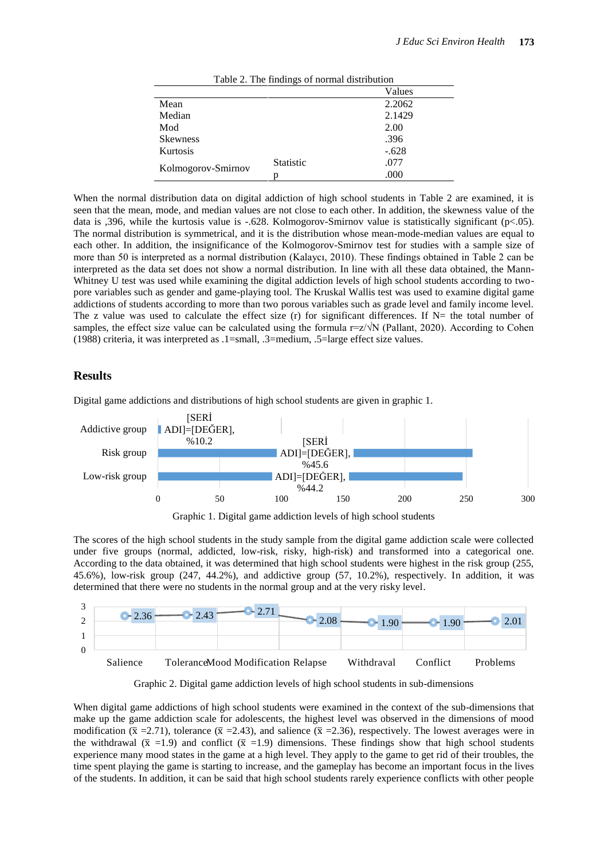|                    | Table 2. The Hildings of hormal distribution |         |
|--------------------|----------------------------------------------|---------|
|                    |                                              | Values  |
| Mean               |                                              | 2.2062  |
| Median             |                                              | 2.1429  |
| Mod                |                                              | 2.00    |
| <b>Skewness</b>    |                                              | .396    |
| Kurtosis           |                                              | $-.628$ |
|                    | <b>Statistic</b>                             | .077    |
|                    |                                              | .000    |
| Kolmogorov-Smirnov |                                              |         |

Table 2. The findings of normal distribution

When the normal distribution data on digital addiction of high school students in Table 2 are examined, it is seen that the mean, mode, and median values are not close to each other. In addition, the skewness value of the data is ,396, while the kurtosis value is -.628. Kolmogorov-Smirnov value is statistically significant (p<.05). The normal distribution is symmetrical, and it is the distribution whose mean-mode-median values are equal to each other. In addition, the insignificance of the Kolmogorov-Smirnov test for studies with a sample size of more than 50 is interpreted as a normal distribution (Kalaycı, 2010). These findings obtained in Table 2 can be interpreted as the data set does not show a normal distribution. In line with all these data obtained, the Mann-Whitney U test was used while examining the digital addiction levels of high school students according to twopore variables such as gender and game-playing tool. The Kruskal Wallis test was used to examine digital game addictions of students according to more than two porous variables such as grade level and family income level. The z value was used to calculate the effect size (r) for significant differences. If  $N=$  the total number of samples, the effect size value can be calculated using the formula  $r=z/\sqrt{N}$  (Pallant, 2020). According to Cohen (1988) criteria, it was interpreted as .1=small, .3=medium, .5=large effect size values.

### **Results**

Digital game addictions and distributions of high school students are given in graphic 1.



Graphic 1. Digital game addiction levels of high school students

The scores of the high school students in the study sample from the digital game addiction scale were collected under five groups (normal, addicted, low-risk, risky, high-risk) and transformed into a categorical one. According to the data obtained, it was determined that high school students were highest in the risk group (255, 45.6%), low-risk group (247, 44.2%), and addictive group (57, 10.2%), respectively. In addition, it was determined that there were no students in the normal group and at the very risky level.



Graphic 2. Digital game addiction levels of high school students in sub-dimensions

When digital game addictions of high school students were examined in the context of the sub-dimensions that make up the game addiction scale for adolescents, the highest level was observed in the dimensions of mood modification ( $\bar{x} = 2.71$ ), tolerance ( $\bar{x} = 2.43$ ), and salience ( $\bar{x} = 2.36$ ), respectively. The lowest averages were in the withdrawal ( $\bar{x}$  =1.9) and conflict ( $\bar{x}$  =1.9) dimensions. These findings show that high school students experience many mood states in the game at a high level. They apply to the game to get rid of their troubles, the time spent playing the game is starting to increase, and the gameplay has become an important focus in the lives of the students. In addition, it can be said that high school students rarely experience conflicts with other people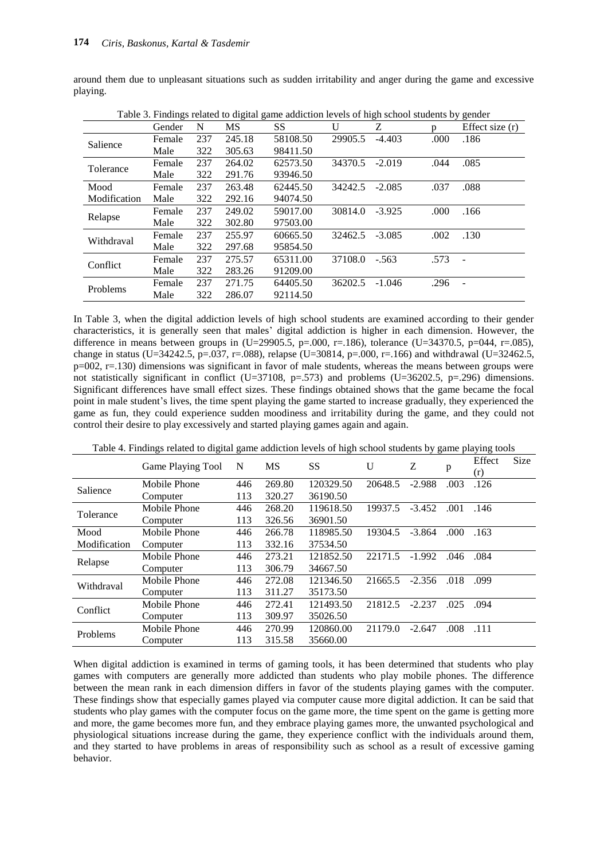around them due to unpleasant situations such as sudden irritability and anger during the game and excessive playing.

|              | Gender | N   | MS.    | SS.      | U              | Ζ        | $\mathbf{D}$ | Effect size (r) |
|--------------|--------|-----|--------|----------|----------------|----------|--------------|-----------------|
| Salience     | Female | 237 | 245.18 | 58108.50 | 29905.5        | $-4.403$ | .000         | .186            |
|              | Male   | 322 | 305.63 | 98411.50 |                |          |              |                 |
| Tolerance    | Female | 237 | 264.02 | 62573.50 | 34370.5        | $-2.019$ | .044         | .085            |
|              | Male   | 322 | 291.76 | 93946.50 |                |          |              |                 |
| Mood         | Female | 237 | 263.48 | 62445.50 | 34242.5 -2.085 |          | .037         | .088            |
| Modification | Male   | 322 | 292.16 | 94074.50 |                |          |              |                 |
| Relapse      | Female | 237 | 249.02 | 59017.00 | 30814.0        | $-3.925$ | .000         | .166            |
|              | Male   | 322 | 302.80 | 97503.00 |                |          |              |                 |
| Withdraval   | Female | 237 | 255.97 | 60665.50 | 32462.5        | $-3.085$ | .002         | .130            |
|              | Male   | 322 | 297.68 | 95854.50 |                |          |              |                 |
| Conflict     | Female | 237 | 275.57 | 65311.00 | 37108.0        | $-.563$  | .573         |                 |
|              | Male   | 322 | 283.26 | 91209.00 |                |          |              |                 |
| Problems     | Female | 237 | 271.75 | 64405.50 | 36202.5        | $-1.046$ | .296         |                 |
|              | Male   | 322 | 286.07 | 92114.50 |                |          |              |                 |

Table 3. Findings related to digital game addiction levels of high school students by gender

In Table 3, when the digital addiction levels of high school students are examined according to their gender characteristics, it is generally seen that males' digital addiction is higher in each dimension. However, the difference in means between groups in (U=29905.5, p=.000, r=.186), tolerance (U=34370.5, p=044, r=.085), change in status (U=34242.5, p=.037, r=.088), relapse (U=30814, p=.000, r=.166) and withdrawal (U=32462.5,  $p=002$ ,  $r=.130$ ) dimensions was significant in favor of male students, whereas the means between groups were not statistically significant in conflict (U=37108, p=.573) and problems (U=36202.5, p=.296) dimensions. Significant differences have small effect sizes. These findings obtained shows that the game became the focal point in male student's lives, the time spent playing the game started to increase gradually, they experienced the game as fun, they could experience sudden moodiness and irritability during the game, and they could not control their desire to play excessively and started playing games again and again.

Table 4. Findings related to digital game addiction levels of high school students by game playing tools

|              | Game Playing Tool | N   | <b>MS</b> | <b>SS</b> | U       | Z        | p     | Effect<br>(r) | <b>Size</b> |
|--------------|-------------------|-----|-----------|-----------|---------|----------|-------|---------------|-------------|
| Salience     | Mobile Phone      | 446 | 269.80    | 120329.50 | 20648.5 | $-2.988$ | .003  | .126          |             |
|              | Computer          | 113 | 320.27    | 36190.50  |         |          |       |               |             |
| Tolerance    | Mobile Phone      | 446 | 268.20    | 119618.50 | 19937.5 | $-3.452$ | .001  | .146          |             |
|              | Computer          | 113 | 326.56    | 36901.50  |         |          |       |               |             |
| Mood         | Mobile Phone      | 446 | 266.78    | 118985.50 | 19304.5 | $-3.864$ | .000. | .163          |             |
| Modification | Computer          | 113 | 332.16    | 37534.50  |         |          |       |               |             |
|              | Mobile Phone      | 446 | 273.21    | 121852.50 | 22171.5 | $-1.992$ | .046  | .084          |             |
| Relapse      | Computer          | 113 | 306.79    | 34667.50  |         |          |       |               |             |
| Withdraval   | Mobile Phone      | 446 | 272.08    | 121346.50 | 21665.5 | $-2.356$ | .018  | .099          |             |
|              | Computer          | 113 | 311.27    | 35173.50  |         |          |       |               |             |
| Conflict     | Mobile Phone      | 446 | 272.41    | 121493.50 | 21812.5 | $-2.237$ | .025  | .094          |             |
|              | Computer          | 113 | 309.97    | 35026.50  |         |          |       |               |             |
|              | Mobile Phone      | 446 | 270.99    | 120860.00 | 21179.0 | $-2.647$ | .008  | .111          |             |
| Problems     | Computer          | 113 | 315.58    | 35660.00  |         |          |       |               |             |

When digital addiction is examined in terms of gaming tools, it has been determined that students who play games with computers are generally more addicted than students who play mobile phones. The difference between the mean rank in each dimension differs in favor of the students playing games with the computer. These findings show that especially games played via computer cause more digital addiction. It can be said that students who play games with the computer focus on the game more, the time spent on the game is getting more and more, the game becomes more fun, and they embrace playing games more, the unwanted psychological and physiological situations increase during the game, they experience conflict with the individuals around them, and they started to have problems in areas of responsibility such as school as a result of excessive gaming behavior.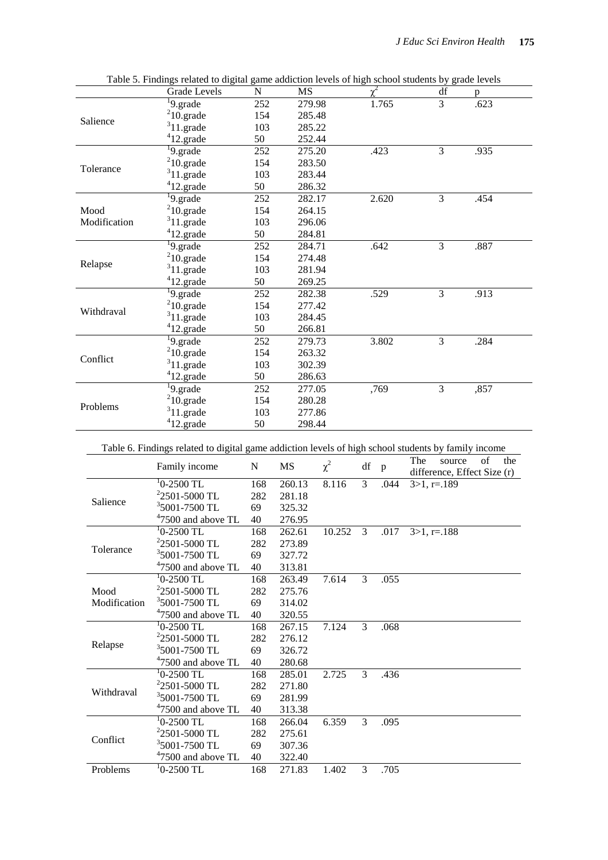|              | Grade Levels                                                                                        | N                | <b>MS</b> |       | df             | р               |
|--------------|-----------------------------------------------------------------------------------------------------|------------------|-----------|-------|----------------|-----------------|
|              | $\sqrt[1]{9}$ .grade                                                                                | 252              | 279.98    | 1.765 | $\overline{3}$ | .623            |
| Salience     | $210$ .grade                                                                                        | 154              | 285.48    |       |                |                 |
|              | $311.\text{grade}$                                                                                  | 103              | 285.22    |       |                |                 |
|              | $412.\text{grade}$                                                                                  | 50               | 252.44    |       |                |                 |
|              | <sup>1</sup> 9.grade                                                                                | 252              | 275.20    | .423  | 3              | .935            |
|              | $210$ .grade                                                                                        | 154              | 283.50    |       |                |                 |
| Tolerance    | $311.\text{grade}$                                                                                  | 103              | 283.44    |       |                |                 |
|              | $412$ .grade                                                                                        | 50               | 286.32    |       |                |                 |
|              | $\overline{^{1}9}$ .grade                                                                           | 252              | 282.17    | 2.620 | $\overline{3}$ | .454            |
| Mood         | $210$ .grade                                                                                        | 154              | 264.15    |       |                |                 |
| Modification | $311.\text{grade}$                                                                                  | 103              | 296.06    |       |                |                 |
|              | $412.\text{grade}$                                                                                  | 50               | 284.81    |       |                |                 |
|              | $\overline{^{1}9}$ .grade                                                                           | 252              | 284.71    | .642  | 3              | .887            |
|              | $210$ .grade                                                                                        | 154              | 274.48    |       |                |                 |
| Relapse      | $311.\text{grade}$                                                                                  | 103              | 281.94    |       |                |                 |
|              | $412$ .grade                                                                                        | 50               | 269.25    |       |                |                 |
|              | $\overline{9.}$ grade                                                                               | $\overline{252}$ | 282.38    | .529  | $\overline{3}$ | .913            |
|              | $210$ .grade                                                                                        | 154              | 277.42    |       |                |                 |
| Withdraval   | $311.\text{grade}$                                                                                  | 103              | 284.45    |       |                |                 |
|              | $412.\text{grade}$                                                                                  | 50               | 266.81    |       |                |                 |
|              | $\sqrt[1]{9}$ .grade                                                                                | 252              | 279.73    | 3.802 | 3              | .284            |
|              | $210$ .grade                                                                                        | 154              | 263.32    |       |                |                 |
| Conflict     | $311.\text{grade}$                                                                                  | 103              | 302.39    |       |                |                 |
|              | $412$ .grade                                                                                        | 50               | 286.63    |       |                |                 |
|              | $\sqrt[1]{9}$ .grade                                                                                | 252              | 277.05    | ,769  | 3              | ,857            |
|              | $210$ .grade                                                                                        | 154              | 280.28    |       |                |                 |
| Problems     | $311.\text{grade}$                                                                                  | 103              | 277.86    |       |                |                 |
|              | $412.\text{grade}$                                                                                  | 50               | 298.44    |       |                |                 |
|              | Table 6. Findings related to digital game addiction levels of high school students by family income |                  |           |       | The course of  | th <sub>0</sub> |

| Table 5. Findings related to digital game addiction levels of high school students by grade levels |  |  |
|----------------------------------------------------------------------------------------------------|--|--|
|                                                                                                    |  |  |

|              | s renned to digital gaine addressen it was of high sensor statemes<br>Family income | N   | <b>MS</b> | $\chi^2$ | df p           |      | The<br>of<br>the<br>source<br>difference, Effect Size (r) |
|--------------|-------------------------------------------------------------------------------------|-----|-----------|----------|----------------|------|-----------------------------------------------------------|
|              | $10-2500$ TL                                                                        | 168 | 260.13    | 8.116    | $\mathfrak{Z}$ | .044 | $3>1, r=.189$                                             |
|              | $22501 - 5000$ TL                                                                   | 282 | 281.18    |          |                |      |                                                           |
| Salience     | $35001$ -7500 TL                                                                    | 69  | 325.32    |          |                |      |                                                           |
|              | $47500$ and above TL                                                                | 40  | 276.95    |          |                |      |                                                           |
|              | $10-2500$ TL                                                                        | 168 | 262.61    | 10.252 3 |                | .017 | $3>1, r=.188$                                             |
|              | $22501 - 5000$ TL                                                                   | 282 | 273.89    |          |                |      |                                                           |
| Tolerance    | $35001$ -7500 TL                                                                    | 69  | 327.72    |          |                |      |                                                           |
|              | $47500$ and above TL                                                                | 40  | 313.81    |          |                |      |                                                           |
|              | $10-2500$ TL                                                                        | 168 | 263.49    | 7.614    | 3              | .055 |                                                           |
| Mood         | $22501 - 5000$ TL                                                                   | 282 | 275.76    |          |                |      |                                                           |
| Modification | $35001 - 7500$ TL                                                                   | 69  | 314.02    |          |                |      |                                                           |
|              | $47500$ and above TL                                                                | 40  | 320.55    |          |                |      |                                                           |
|              | $10-2500$ TL                                                                        | 168 | 267.15    | 7.124    | 3              | .068 |                                                           |
|              | $22501 - 5000$ TL                                                                   | 282 | 276.12    |          |                |      |                                                           |
| Relapse      | $35001$ -7500 TL                                                                    | 69  | 326.72    |          |                |      |                                                           |
|              | $47500$ and above TL                                                                | 40  | 280.68    |          |                |      |                                                           |
|              | $10-2500$ TL                                                                        | 168 | 285.01    | 2.725    | 3              | .436 |                                                           |
| Withdraval   | $22501 - 5000$ TL                                                                   | 282 | 271.80    |          |                |      |                                                           |
|              | $35001$ -7500 TL                                                                    | 69  | 281.99    |          |                |      |                                                           |
|              | $47500$ and above TL                                                                | 40  | 313.38    |          |                |      |                                                           |
|              | $10-2500$ TL                                                                        | 168 | 266.04    | 6.359    | 3              | .095 |                                                           |
| Conflict     | $22501 - 5000$ TL                                                                   | 282 | 275.61    |          |                |      |                                                           |
|              | $35001 - 7500$ TL                                                                   | 69  | 307.36    |          |                |      |                                                           |
|              | $47500$ and above TL                                                                | 40  | 322.40    |          |                |      |                                                           |
| Problems     | $10-2500$ TL                                                                        | 168 | 271.83    | 1.402    | 3              | .705 |                                                           |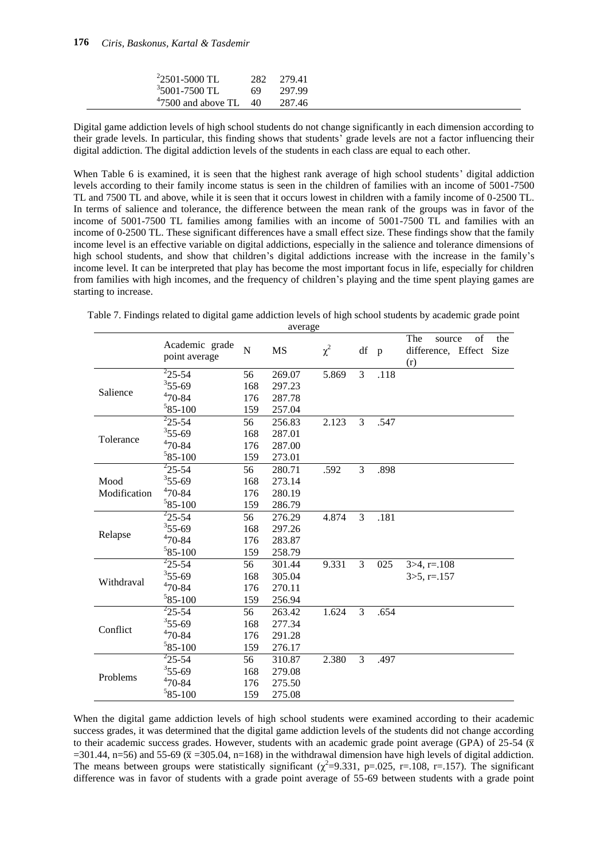| $22501 - 5000$ TL         | 282 | 279.41 |
|---------------------------|-----|--------|
| $35001 - 7500$ TL         | 69  | 297.99 |
| $47500$ and above TL $40$ |     | 287.46 |

Digital game addiction levels of high school students do not change significantly in each dimension according to their grade levels. In particular, this finding shows that students' grade levels are not a factor influencing their digital addiction. The digital addiction levels of the students in each class are equal to each other.

When Table 6 is examined, it is seen that the highest rank average of high school students' digital addiction levels according to their family income status is seen in the children of families with an income of 5001-7500 TL and 7500 TL and above, while it is seen that it occurs lowest in children with a family income of 0-2500 TL. In terms of salience and tolerance, the difference between the mean rank of the groups was in favor of the income of 5001-7500 TL families among families with an income of 5001-7500 TL and families with an income of 0-2500 TL. These significant differences have a small effect size. These findings show that the family income level is an effective variable on digital addictions, especially in the salience and tolerance dimensions of high school students, and show that children's digital addictions increase with the increase in the family's income level. It can be interpreted that play has become the most important focus in life, especially for children from families with high incomes, and the frequency of children's playing and the time spent playing games are starting to increase.

|              | Academic grade     |     |           |          |    |              | The<br>of<br>the<br>source        |
|--------------|--------------------|-----|-----------|----------|----|--------------|-----------------------------------|
|              | point average      | N   | <b>MS</b> | $\chi^2$ | df | $\mathbf{p}$ | difference, Effect<br>Size<br>(r) |
|              | $\frac{2}{25-54}$  | 56  | 269.07    | 5.869    | 3  | .118         |                                   |
| Salience     | $355 - 69$         | 168 | 297.23    |          |    |              |                                   |
|              | $470 - 84$         | 176 | 287.78    |          |    |              |                                   |
|              | $585 - 100$        | 159 | 257.04    |          |    |              |                                   |
|              | $\frac{2}{25}$ -54 | 56  | 256.83    | 2.123    | 3  | .547         |                                   |
| Tolerance    | $355 - 69$         | 168 | 287.01    |          |    |              |                                   |
|              | $470 - 84$         | 176 | 287.00    |          |    |              |                                   |
|              | $585 - 100$        | 159 | 273.01    |          |    |              |                                   |
|              | $^{2}$ 25-54       | 56  | 280.71    | .592     | 3  | .898         |                                   |
| Mood         | $355 - 69$         | 168 | 273.14    |          |    |              |                                   |
| Modification | $470 - 84$         | 176 | 280.19    |          |    |              |                                   |
|              | $585 - 100$        | 159 | 286.79    |          |    |              |                                   |
|              | $^{2}$ 25-54       | 56  | 276.29    | 4.874    | 3  | .181         |                                   |
|              | $355 - 69$         | 168 | 297.26    |          |    |              |                                   |
| Relapse      | $470 - 84$         | 176 | 283.87    |          |    |              |                                   |
|              | $585 - 100$        | 159 | 258.79    |          |    |              |                                   |
|              | $\frac{2}{2}$ 5-54 | 56  | 301.44    | 9.331    | 3  | 025          | $3 > 4$ , r=.108                  |
| Withdraval   | $355 - 69$         | 168 | 305.04    |          |    |              | $3 > 5$ , r=.157                  |
|              | $470 - 84$         | 176 | 270.11    |          |    |              |                                   |
|              | $585 - 100$        | 159 | 256.94    |          |    |              |                                   |
|              | $\frac{2}{2}$ 5-54 | 56  | 263.42    | 1.624    | 3  | .654         |                                   |
| Conflict     | $355 - 69$         | 168 | 277.34    |          |    |              |                                   |
|              | $470 - 84$         | 176 | 291.28    |          |    |              |                                   |
|              | $585 - 100$        | 159 | 276.17    |          |    |              |                                   |
|              | $\frac{2}{25}$ -54 | 56  | 310.87    | 2.380    | 3  | .497         |                                   |
| Problems     | $355 - 69$         | 168 | 279.08    |          |    |              |                                   |
|              | $470 - 84$         | 176 | 275.50    |          |    |              |                                   |
|              | $585 - 100$        | 159 | 275.08    |          |    |              |                                   |

Table 7. Findings related to digital game addiction levels of high school students by academic grade point

average

When the digital game addiction levels of high school students were examined according to their academic success grades, it was determined that the digital game addiction levels of the students did not change according to their academic success grades. However, students with an academic grade point average (GPA) of 25-54 ( $\bar{x}$ =301.44, n=56) and 55-69 ( $\bar{x}$  =305.04, n=168) in the withdrawal dimension have high levels of digital addiction. The means between groups were statistically significant ( $\chi^2$ =9.331, p=.025, r=.108, r=.157). The significant difference was in favor of students with a grade point average of 55-69 between students with a grade point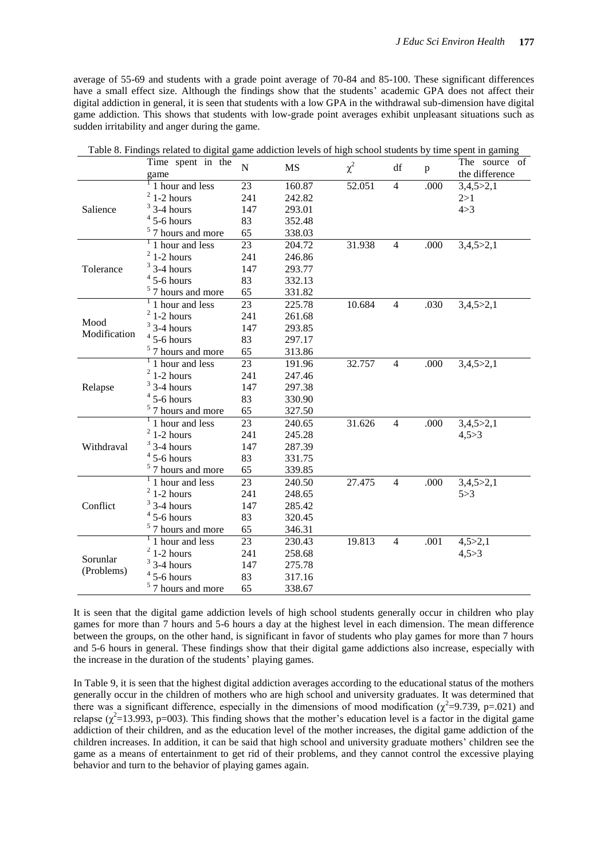average of 55-69 and students with a grade point average of 70-84 and 85-100. These significant differences have a small effect size. Although the findings show that the students' academic GPA does not affect their digital addiction in general, it is seen that students with a low GPA in the withdrawal sub-dimension have digital game addiction. This shows that students with low-grade point averages exhibit unpleasant situations such as sudden irritability and anger during the game.

| Time spent in the<br>The source of<br>$\overline{N}$<br>$\chi^2$<br><b>MS</b><br>df<br>p<br>the difference<br>game<br>$\overline{23}$<br>1 hour and less<br>52.051<br>$\overline{4}$<br>160.87<br>.000<br>3,4,5>2,1<br>$2$ 1-2 hours<br>241<br>242.82<br>2 > 1<br>$3$ 3-4 hours<br>Salience<br>147<br>293.01<br>4 > 3<br>$4$ 5-6 hours<br>83<br>352.48<br>$5$ 7 hours and more<br>65<br>338.03 |
|------------------------------------------------------------------------------------------------------------------------------------------------------------------------------------------------------------------------------------------------------------------------------------------------------------------------------------------------------------------------------------------------|
|                                                                                                                                                                                                                                                                                                                                                                                                |
|                                                                                                                                                                                                                                                                                                                                                                                                |
|                                                                                                                                                                                                                                                                                                                                                                                                |
|                                                                                                                                                                                                                                                                                                                                                                                                |
|                                                                                                                                                                                                                                                                                                                                                                                                |
|                                                                                                                                                                                                                                                                                                                                                                                                |
|                                                                                                                                                                                                                                                                                                                                                                                                |
| $\frac{1}{1}$ hour and less<br>$\overline{23}$<br>204.72<br>31.938<br>.000<br>3,4,5>2,1<br>$\overline{4}$                                                                                                                                                                                                                                                                                      |
| $2$ 1-2 hours<br>241<br>246.86                                                                                                                                                                                                                                                                                                                                                                 |
| $3$ 3-4 hours<br>Tolerance<br>147<br>293.77                                                                                                                                                                                                                                                                                                                                                    |
| $4$ 5-6 hours<br>83<br>332.13                                                                                                                                                                                                                                                                                                                                                                  |
| $5$ 7 hours and more<br>65<br>331.82                                                                                                                                                                                                                                                                                                                                                           |
| $\frac{1}{1}$ hour and less<br>23<br>225.78<br>10.684<br>.030<br>3,4,5>2,1<br>$\overline{4}$                                                                                                                                                                                                                                                                                                   |
| $2$ 1-2 hours<br>241<br>261.68                                                                                                                                                                                                                                                                                                                                                                 |
| Mood<br>$3$ 3-4 hours<br>147<br>293.85                                                                                                                                                                                                                                                                                                                                                         |
| Modification<br>$4$ 5-6 hours<br>83<br>297.17                                                                                                                                                                                                                                                                                                                                                  |
| $5$ 7 hours and more<br>65<br>313.86                                                                                                                                                                                                                                                                                                                                                           |
| $\frac{1}{1}$ hour and less<br>23<br>32.757<br>.000<br>191.96<br>$\overline{4}$<br>3,4,5>2,1                                                                                                                                                                                                                                                                                                   |
| $2$ 1-2 hours<br>241<br>247.46                                                                                                                                                                                                                                                                                                                                                                 |
| $3$ 3-4 hours<br>Relapse<br>147<br>297.38                                                                                                                                                                                                                                                                                                                                                      |
| $4$ 5-6 hours<br>83<br>330.90                                                                                                                                                                                                                                                                                                                                                                  |
| $5$ 7 hours and more<br>65<br>327.50                                                                                                                                                                                                                                                                                                                                                           |
| $\frac{1}{1}$ hour and less<br>23<br>240.65<br>31.626<br>$\overline{4}$<br>.000<br>3,4,5>2,1                                                                                                                                                                                                                                                                                                   |
| $2$ 1-2 hours<br>241<br>245.28<br>4,5 > 3                                                                                                                                                                                                                                                                                                                                                      |
| $3$ 3-4 hours<br>Withdraval<br>147<br>287.39                                                                                                                                                                                                                                                                                                                                                   |
| $4$ 5-6 hours<br>83<br>331.75                                                                                                                                                                                                                                                                                                                                                                  |
| $5$ 7 hours and more<br>65<br>339.85                                                                                                                                                                                                                                                                                                                                                           |
| $\frac{1}{1}$ hour and less<br>23<br>27.475<br>.000<br>3,4,5>2,1<br>240.50<br>$\overline{4}$                                                                                                                                                                                                                                                                                                   |
| $2$ 1-2 hours<br>241<br>248.65<br>5 > 3                                                                                                                                                                                                                                                                                                                                                        |
| $3$ 3-4 hours<br>Conflict<br>147<br>285.42                                                                                                                                                                                                                                                                                                                                                     |
| $4$ 5-6 hours<br>83<br>320.45                                                                                                                                                                                                                                                                                                                                                                  |
| $5$ 7 hours and more<br>65<br>346.31                                                                                                                                                                                                                                                                                                                                                           |
| $\overline{1}$ hour and less<br>23<br>19.813<br>4,5 > 2,1<br>230.43<br>.001<br>$\overline{4}$                                                                                                                                                                                                                                                                                                  |
| $2$ 1-2 hours<br>258.68<br>241<br>4,5 > 3                                                                                                                                                                                                                                                                                                                                                      |
| Sorunlar<br>$3$ 3-4 hours<br>147<br>275.78                                                                                                                                                                                                                                                                                                                                                     |
| (Problems)<br>$4$ 5-6 hours<br>83<br>317.16                                                                                                                                                                                                                                                                                                                                                    |
| $5$ 7 hours and more<br>65<br>338.67                                                                                                                                                                                                                                                                                                                                                           |

It is seen that the digital game addiction levels of high school students generally occur in children who play games for more than 7 hours and 5-6 hours a day at the highest level in each dimension. The mean difference between the groups, on the other hand, is significant in favor of students who play games for more than 7 hours and 5-6 hours in general. These findings show that their digital game addictions also increase, especially with the increase in the duration of the students' playing games.

In Table 9, it is seen that the highest digital addiction averages according to the educational status of the mothers generally occur in the children of mothers who are high school and university graduates. It was determined that there was a significant difference, especially in the dimensions of mood modification ( $\chi^2$ =9.739, p=.021) and relapse ( $\chi^2$ =13.993, p=003). This finding shows that the mother's education level is a factor in the digital game addiction of their children, and as the education level of the mother increases, the digital game addiction of the children increases. In addition, it can be said that high school and university graduate mothers' children see the game as a means of entertainment to get rid of their problems, and they cannot control the excessive playing behavior and turn to the behavior of playing games again.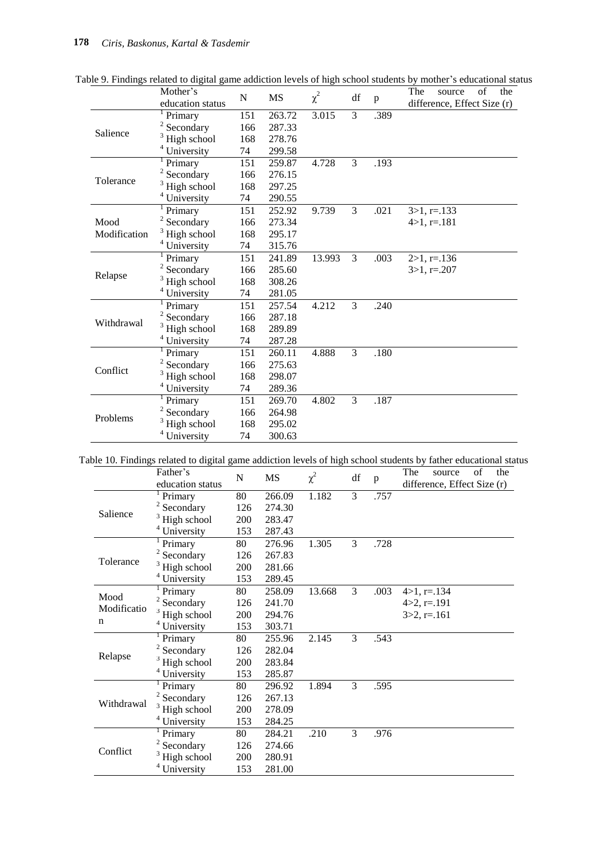|              | Mother's                | N   | MS     | $\chi^2$ | df             |      | The<br>of<br>the<br>source  |
|--------------|-------------------------|-----|--------|----------|----------------|------|-----------------------------|
|              | education status        |     |        |          |                | p    | difference, Effect Size (r) |
|              | Primary                 | 151 | 263.72 | 3.015    | $\overline{3}$ | .389 |                             |
| Salience     | $2$ Secondary           | 166 | 287.33 |          |                |      |                             |
|              | High school             | 168 | 278.76 |          |                |      |                             |
|              | $4$ University          | 74  | 299.58 |          |                |      |                             |
|              | Primary                 | 151 | 259.87 | 4.728    | 3              | .193 |                             |
|              | 2<br>Secondary          | 166 | 276.15 |          |                |      |                             |
| Tolerance    | High school             | 168 | 297.25 |          |                |      |                             |
|              | <sup>4</sup> University | 74  | 290.55 |          |                |      |                             |
|              | Primary                 | 151 | 252.92 | 9.739    | 3              | .021 | $3>1, r=.133$               |
| Mood         | Secondary               | 166 | 273.34 |          |                |      | $4 > 1, r = .181$           |
| Modification | High school             | 168 | 295.17 |          |                |      |                             |
|              | <sup>4</sup> University | 74  | 315.76 |          |                |      |                             |
|              | Primary                 | 151 | 241.89 | 13.993   | 3              | .003 | $2>1, r=.136$               |
|              | Secondary               | 166 | 285.60 |          |                |      | $3>1, r=.207$               |
| Relapse      | High school             | 168 | 308.26 |          |                |      |                             |
|              | $4$ University          | 74  | 281.05 |          |                |      |                             |
|              | Primary                 | 151 | 257.54 | 4.212    | $\overline{3}$ | .240 |                             |
|              | Secondary               | 166 | 287.18 |          |                |      |                             |
| Withdrawal   | High school             | 168 | 289.89 |          |                |      |                             |
|              | $4$ University          | 74  | 287.28 |          |                |      |                             |
|              | Primary                 | 151 | 260.11 | 4.888    | 3              | .180 |                             |
|              | Secondary               | 166 | 275.63 |          |                |      |                             |
| Conflict     | High school             | 168 | 298.07 |          |                |      |                             |
|              | <sup>4</sup> University | 74  | 289.36 |          |                |      |                             |
|              | Primary                 | 151 | 269.70 | 4.802    | 3              | .187 |                             |
|              | Secondary               | 166 | 264.98 |          |                |      |                             |
| Problems     | $3$ High school         | 168 | 295.02 |          |                |      |                             |
|              | <sup>4</sup> University | 74  | 300.63 |          |                |      |                             |

Table 9. Findings related to digital game addiction levels of high school students by mother's educational status

Table 10. Findings related to digital game addiction levels of high school students by father educational status

|                          | Father's<br>education status | N   | MS     | $\chi^2$ | df             | p    | The<br>of<br>the<br>source<br>difference, Effect Size (r) |
|--------------------------|------------------------------|-----|--------|----------|----------------|------|-----------------------------------------------------------|
| Salience                 | Primary                      | 80  | 266.09 | 1.182    | $\overline{3}$ | .757 |                                                           |
|                          | $2$ Secondary                | 126 | 274.30 |          |                |      |                                                           |
|                          | High school                  | 200 | 283.47 |          |                |      |                                                           |
|                          | <sup>4</sup> University      | 153 | 287.43 |          |                |      |                                                           |
| Tolerance                | Primary                      | 80  | 276.96 | 1.305    | 3              | .728 |                                                           |
|                          | $2$ Secondary                | 126 | 267.83 |          |                |      |                                                           |
|                          | $3$ High school              | 200 | 281.66 |          |                |      |                                                           |
|                          | <sup>4</sup> University      | 153 | 289.45 |          |                |      |                                                           |
| Mood<br>Modificatio<br>n | Primary                      | 80  | 258.09 | 13.668   | 3              | .003 | $4 > 1, r = .134$                                         |
|                          | 2<br>Secondary               | 126 | 241.70 |          |                |      | $4 > 2$ , r=.191                                          |
|                          | $^3$ High school             | 200 | 294.76 |          |                |      | $3>2$ , r=.161                                            |
|                          | University                   | 153 | 303.71 |          |                |      |                                                           |
| Relapse                  | Primary                      | 80  | 255.96 | 2.145    | 3              | .543 |                                                           |
|                          | 2<br>Secondary               | 126 | 282.04 |          |                |      |                                                           |
|                          | High school                  | 200 | 283.84 |          |                |      |                                                           |
|                          | <sup>4</sup> University      | 153 | 285.87 |          |                |      |                                                           |
| Withdrawal               | Primary                      | 80  | 296.92 | 1.894    | 3              | .595 |                                                           |
|                          | $2$ Secondary                | 126 | 267.13 |          |                |      |                                                           |
|                          | High school                  | 200 | 278.09 |          |                |      |                                                           |
|                          | <sup>4</sup> University      | 153 | 284.25 |          |                |      |                                                           |
| Conflict                 | Primary                      | 80  | 284.21 | .210     | 3              | .976 |                                                           |
|                          | $2$ Secondary                | 126 | 274.66 |          |                |      |                                                           |
|                          | High school                  | 200 | 280.91 |          |                |      |                                                           |
|                          | <sup>4</sup> University      | 153 | 281.00 |          |                |      |                                                           |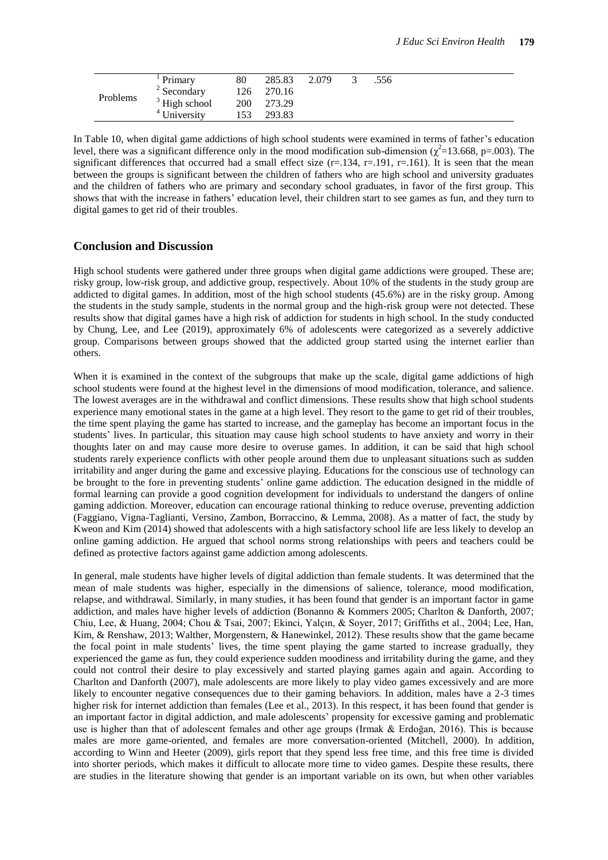| Problems | Primary         | 80  | 285.83 | 2.079 | .556 |  |
|----------|-----------------|-----|--------|-------|------|--|
|          | $2$ Secondary   | 126 | 270.16 |       |      |  |
|          | $3$ High school | 200 | 273.29 |       |      |  |
|          | University      | 153 | 293.83 |       |      |  |

In Table 10, when digital game addictions of high school students were examined in terms of father's education level, there was a significant difference only in the mood modification sub-dimension ( $\chi^2$ =13.668, p=.003). The significant differences that occurred had a small effect size  $(r=134, r=191, r=161)$ . It is seen that the mean between the groups is significant between the children of fathers who are high school and university graduates and the children of fathers who are primary and secondary school graduates, in favor of the first group. This shows that with the increase in fathers' education level, their children start to see games as fun, and they turn to digital games to get rid of their troubles.

### **Conclusion and Discussion**

High school students were gathered under three groups when digital game addictions were grouped. These are; risky group, low-risk group, and addictive group, respectively. About 10% of the students in the study group are addicted to digital games. In addition, most of the high school students (45.6%) are in the risky group. Among the students in the study sample, students in the normal group and the high-risk group were not detected. These results show that digital games have a high risk of addiction for students in high school. In the study conducted by Chung, Lee, and Lee (2019), approximately 6% of adolescents were categorized as a severely addictive group. Comparisons between groups showed that the addicted group started using the internet earlier than others.

When it is examined in the context of the subgroups that make up the scale, digital game addictions of high school students were found at the highest level in the dimensions of mood modification, tolerance, and salience. The lowest averages are in the withdrawal and conflict dimensions. These results show that high school students experience many emotional states in the game at a high level. They resort to the game to get rid of their troubles, the time spent playing the game has started to increase, and the gameplay has become an important focus in the students' lives. In particular, this situation may cause high school students to have anxiety and worry in their thoughts later on and may cause more desire to overuse games. In addition, it can be said that high school students rarely experience conflicts with other people around them due to unpleasant situations such as sudden irritability and anger during the game and excessive playing. Educations for the conscious use of technology can be brought to the fore in preventing students' online game addiction. The education designed in the middle of formal learning can provide a good cognition development for individuals to understand the dangers of online gaming addiction. Moreover, education can encourage rational thinking to reduce overuse, preventing addiction (Faggiano, Vigna-Taglianti, Versino, Zambon, Borraccino, & Lemma, 2008). As a matter of fact, the study by Kweon and Kim (2014) showed that adolescents with a high satisfactory school life are less likely to develop an online gaming addiction. He argued that school norms strong relationships with peers and teachers could be defined as protective factors against game addiction among adolescents.

In general, male students have higher levels of digital addiction than female students. It was determined that the mean of male students was higher, especially in the dimensions of salience, tolerance, mood modification, relapse, and withdrawal. Similarly, in many studies, it has been found that gender is an important factor in game addiction, and males have higher levels of addiction (Bonanno & Kommers 2005; Charlton & Danforth, 2007; Chiu, Lee, & Huang, 2004; Chou & Tsai, 2007; Ekinci, Yalçın, & Soyer, 2017; Griffiths et al., 2004; Lee, Han, Kim, & Renshaw, 2013; Walther, Morgenstern, & Hanewinkel, 2012). These results show that the game became the focal point in male students' lives, the time spent playing the game started to increase gradually, they experienced the game as fun, they could experience sudden moodiness and irritability during the game, and they could not control their desire to play excessively and started playing games again and again. According to Charlton and Danforth (2007), male adolescents are more likely to play video games excessively and are more likely to encounter negative consequences due to their gaming behaviors. In addition, males have a 2-3 times higher risk for internet addiction than females (Lee et al., 2013). In this respect, it has been found that gender is an important factor in digital addiction, and male adolescents' propensity for excessive gaming and problematic use is higher than that of adolescent females and other age groups (Irmak & Erdoğan, 2016). This is because males are more game-oriented, and females are more conversation-oriented (Mitchell, 2000). In addition, according to Winn and Heeter (2009), girls report that they spend less free time, and this free time is divided into shorter periods, which makes it difficult to allocate more time to video games. Despite these results, there are studies in the literature showing that gender is an important variable on its own, but when other variables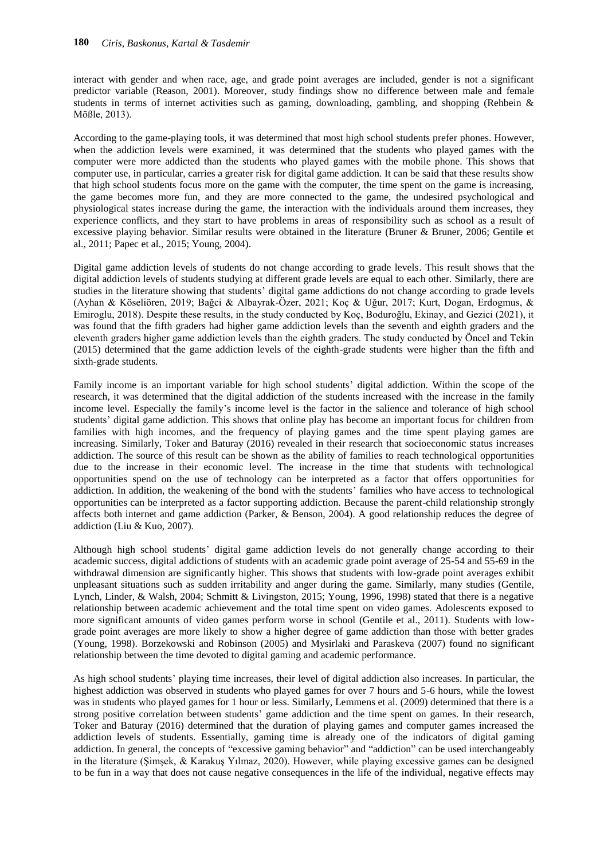interact with gender and when race, age, and grade point averages are included, gender is not a significant predictor variable (Reason, 2001). Moreover, study findings show no difference between male and female students in terms of internet activities such as gaming, downloading, gambling, and shopping (Rehbein & Mößle, 2013).

According to the game-playing tools, it was determined that most high school students prefer phones. However, when the addiction levels were examined, it was determined that the students who played games with the computer were more addicted than the students who played games with the mobile phone. This shows that computer use, in particular, carries a greater risk for digital game addiction. It can be said that these results show that high school students focus more on the game with the computer, the time spent on the game is increasing, the game becomes more fun, and they are more connected to the game, the undesired psychological and physiological states increase during the game, the interaction with the individuals around them increases, they experience conflicts, and they start to have problems in areas of responsibility such as school as a result of excessive playing behavior. Similar results were obtained in the literature (Bruner & Bruner, 2006; Gentile et al., 2011; Papec et al., 2015; Young, 2004).

Digital game addiction levels of students do not change according to grade levels. This result shows that the digital addiction levels of students studying at different grade levels are equal to each other. Similarly, there are studies in the literature showing that students' digital game addictions do not change according to grade levels (Ayhan & Köseliören, 2019; Bağci & Albayrak-Özer, 2021; Koç & Uğur, 2017; Kurt, Dogan, Erdogmus, & Emiroglu, 2018). Despite these results, in the study conducted by Koç, Boduroğlu, Ekinay, and Gezici (2021), it was found that the fifth graders had higher game addiction levels than the seventh and eighth graders and the eleventh graders higher game addiction levels than the eighth graders. The study conducted by Öncel and Tekin (2015) determined that the game addiction levels of the eighth-grade students were higher than the fifth and sixth-grade students.

Family income is an important variable for high school students' digital addiction. Within the scope of the research, it was determined that the digital addiction of the students increased with the increase in the family income level. Especially the family's income level is the factor in the salience and tolerance of high school students' digital game addiction. This shows that online play has become an important focus for children from families with high incomes, and the frequency of playing games and the time spent playing games are increasing. Similarly, Toker and Baturay (2016) revealed in their research that socioeconomic status increases addiction. The source of this result can be shown as the ability of families to reach technological opportunities due to the increase in their economic level. The increase in the time that students with technological opportunities spend on the use of technology can be interpreted as a factor that offers opportunities for addiction. In addition, the weakening of the bond with the students' families who have access to technological opportunities can be interpreted as a factor supporting addiction. Because the parent-child relationship strongly affects both internet and game addiction (Parker, & Benson, 2004). A good relationship reduces the degree of addiction (Liu & Kuo, 2007).

Although high school students' digital game addiction levels do not generally change according to their academic success, digital addictions of students with an academic grade point average of 25-54 and 55-69 in the withdrawal dimension are significantly higher. This shows that students with low-grade point averages exhibit unpleasant situations such as sudden irritability and anger during the game. Similarly, many studies (Gentile, Lynch, Linder, & Walsh, 2004; Schmitt & Livingston, 2015; Young, 1996, 1998) stated that there is a negative relationship between academic achievement and the total time spent on video games. Adolescents exposed to more significant amounts of video games perform worse in school (Gentile et al., 2011). Students with lowgrade point averages are more likely to show a higher degree of game addiction than those with better grades (Young, 1998). Borzekowski and Robinson (2005) and Mysirlaki and Paraskeva (2007) found no significant relationship between the time devoted to digital gaming and academic performance.

As high school students' playing time increases, their level of digital addiction also increases. In particular, the highest addiction was observed in students who played games for over 7 hours and 5-6 hours, while the lowest was in students who played games for 1 hour or less. Similarly, Lemmens et al. (2009) determined that there is a strong positive correlation between students' game addiction and the time spent on games. In their research, Toker and Baturay (2016) determined that the duration of playing games and computer games increased the addiction levels of students. Essentially, gaming time is already one of the indicators of digital gaming addiction. In general, the concepts of "excessive gaming behavior" and "addiction" can be used interchangeably in the literature (Şimşek, & Karakuş Yılmaz, 2020). However, while playing excessive games can be designed to be fun in a way that does not cause negative consequences in the life of the individual, negative effects may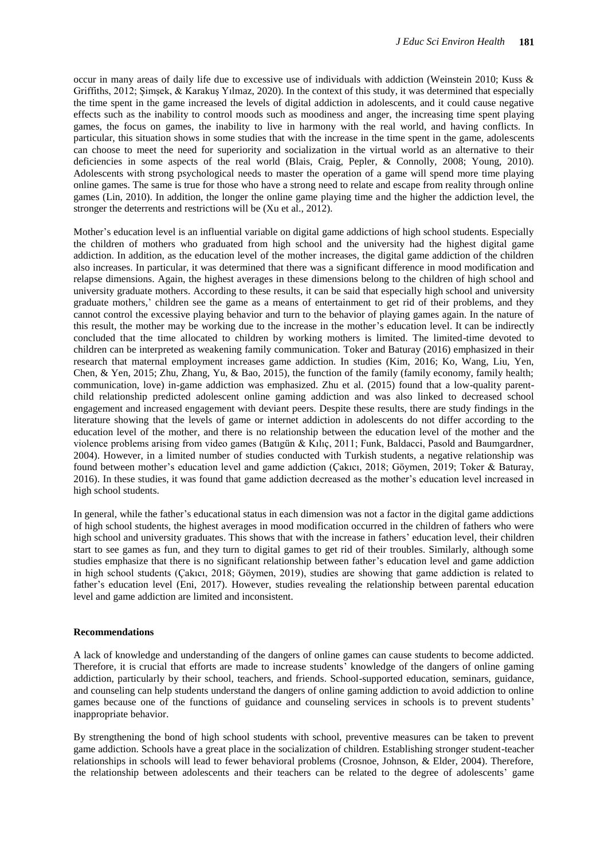occur in many areas of daily life due to excessive use of individuals with addiction (Weinstein 2010; Kuss & Griffiths, 2012; Şimşek, & Karakuş Yılmaz, 2020). In the context of this study, it was determined that especially the time spent in the game increased the levels of digital addiction in adolescents, and it could cause negative effects such as the inability to control moods such as moodiness and anger, the increasing time spent playing games, the focus on games, the inability to live in harmony with the real world, and having conflicts. In particular, this situation shows in some studies that with the increase in the time spent in the game, adolescents can choose to meet the need for superiority and socialization in the virtual world as an alternative to their deficiencies in some aspects of the real world (Blais, Craig, Pepler, & Connolly, 2008; Young, 2010). Adolescents with strong psychological needs to master the operation of a game will spend more time playing online games. The same is true for those who have a strong need to relate and escape from reality through online games (Lin, 2010). In addition, the longer the online game playing time and the higher the addiction level, the stronger the deterrents and restrictions will be (Xu et al., 2012).

Mother's education level is an influential variable on digital game addictions of high school students. Especially the children of mothers who graduated from high school and the university had the highest digital game addiction. In addition, as the education level of the mother increases, the digital game addiction of the children also increases. In particular, it was determined that there was a significant difference in mood modification and relapse dimensions. Again, the highest averages in these dimensions belong to the children of high school and university graduate mothers. According to these results, it can be said that especially high school and university graduate mothers,' children see the game as a means of entertainment to get rid of their problems, and they cannot control the excessive playing behavior and turn to the behavior of playing games again. In the nature of this result, the mother may be working due to the increase in the mother's education level. It can be indirectly concluded that the time allocated to children by working mothers is limited. The limited-time devoted to children can be interpreted as weakening family communication. Toker and Baturay (2016) emphasized in their research that maternal employment increases game addiction. In studies (Kim, 2016; Ko, Wang, Liu, Yen, Chen, & Yen, 2015; Zhu, Zhang, Yu, & Bao, 2015), the function of the family (family economy, family health; communication, love) in-game addiction was emphasized. Zhu et al. (2015) found that a low-quality parentchild relationship predicted adolescent online gaming addiction and was also linked to decreased school engagement and increased engagement with deviant peers. Despite these results, there are study findings in the literature showing that the levels of game or internet addiction in adolescents do not differ according to the education level of the mother, and there is no relationship between the education level of the mother and the violence problems arising from video games (Batıgün & Kılıç, 2011; Funk, Baldacci, Pasold and Baumgardner, 2004). However, in a limited number of studies conducted with Turkish students, a negative relationship was found between mother's education level and game addiction (Çakıcı, 2018; Göymen, 2019; Toker & Baturay, 2016). In these studies, it was found that game addiction decreased as the mother's education level increased in high school students.

In general, while the father's educational status in each dimension was not a factor in the digital game addictions of high school students, the highest averages in mood modification occurred in the children of fathers who were high school and university graduates. This shows that with the increase in fathers' education level, their children start to see games as fun, and they turn to digital games to get rid of their troubles. Similarly, although some studies emphasize that there is no significant relationship between father's education level and game addiction in high school students (Çakıcı, 2018; Göymen, 2019), studies are showing that game addiction is related to father's education level (Eni, 2017). However, studies revealing the relationship between parental education level and game addiction are limited and inconsistent.

#### **Recommendations**

A lack of knowledge and understanding of the dangers of online games can cause students to become addicted. Therefore, it is crucial that efforts are made to increase students' knowledge of the dangers of online gaming addiction, particularly by their school, teachers, and friends. School-supported education, seminars, guidance, and counseling can help students understand the dangers of online gaming addiction to avoid addiction to online games because one of the functions of guidance and counseling services in schools is to prevent students' inappropriate behavior.

By strengthening the bond of high school students with school, preventive measures can be taken to prevent game addiction. Schools have a great place in the socialization of children. Establishing stronger student-teacher relationships in schools will lead to fewer behavioral problems (Crosnoe, Johnson, & Elder, 2004). Therefore, the relationship between adolescents and their teachers can be related to the degree of adolescents' game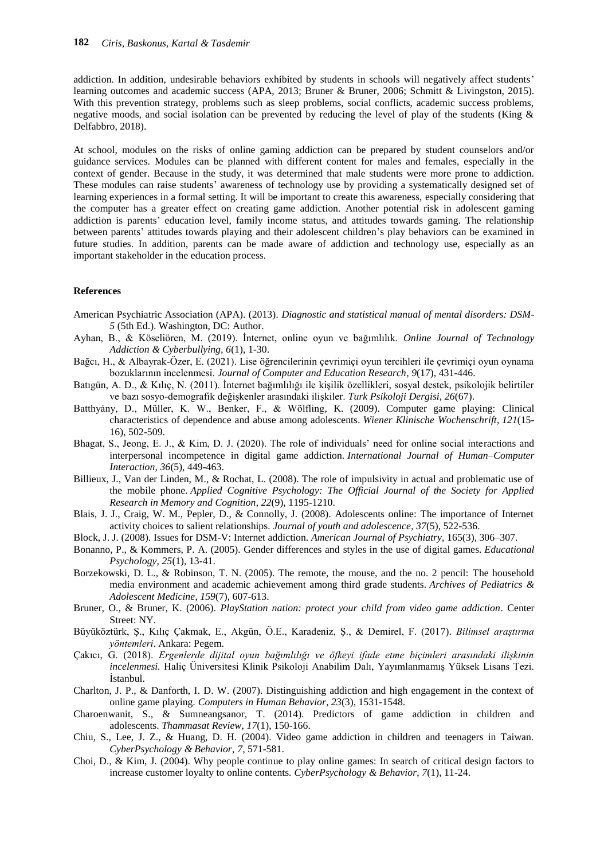addiction. In addition, undesirable behaviors exhibited by students in schools will negatively affect students' learning outcomes and academic success (APA, 2013; Bruner & Bruner, 2006; Schmitt & Livingston, 2015). With this prevention strategy, problems such as sleep problems, social conflicts, academic success problems, negative moods, and social isolation can be prevented by reducing the level of play of the students (King & Delfabbro, 2018).

At school, modules on the risks of online gaming addiction can be prepared by student counselors and/or guidance services. Modules can be planned with different content for males and females, especially in the context of gender. Because in the study, it was determined that male students were more prone to addiction. These modules can raise students' awareness of technology use by providing a systematically designed set of learning experiences in a formal setting. It will be important to create this awareness, especially considering that the computer has a greater effect on creating game addiction. Another potential risk in adolescent gaming addiction is parents' education level, family income status, and attitudes towards gaming. The relationship between parents' attitudes towards playing and their adolescent children's play behaviors can be examined in future studies. In addition, parents can be made aware of addiction and technology use, especially as an important stakeholder in the education process.

#### **References**

- American Psychiatric Association (APA). (2013). *Diagnostic and statistical manual of mental disorders: DSM-5* (5th Ed.). Washington, DC: Author.
- Ayhan, B., & Köseliören, M. (2019). İnternet, online oyun ve bağımlılık. *Online Journal of Technology Addiction & Cyberbullying, 6*(1), 1-30.
- Bağcı, H., & Albayrak-Özer, E. (2021). Lise öğrencilerinin çevrimiçi oyun tercihleri ile çevrimiçi oyun oynama bozuklarının incelenmesi. *Journal of Computer and Education Research*, *9*(17), 431-446.
- Batıgün, A. D., & Kılıç, N. (2011). İnternet bağımlılığı ile kişilik özellikleri, sosyal destek, psikolojik belirtiler ve bazı sosyo-demografik değişkenler arasındaki ilişkiler. *Turk Psikoloji Dergisi*, *26*(67).
- Batthyány, D., Müller, K. W., Benker, F., & Wölfling, K. (2009). Computer game playing: Clinical characteristics of dependence and abuse among adolescents. *Wiener Klinische Wochenschrift*, *121*(15- 16), 502-509.
- Bhagat, S., Jeong, E. J., & Kim, D. J. (2020). The role of individuals' need for online social interactions and interpersonal incompetence in digital game addiction. *International Journal of Human–Computer Interaction*, *36*(5), 449-463.
- Billieux, J., Van der Linden, M., & Rochat, L. (2008). The role of impulsivity in actual and problematic use of the mobile phone. *Applied Cognitive Psychology: The Official Journal of the Society for Applied Research in Memory and Cognition*, *22*(9), 1195-1210.
- Blais, J. J., Craig, W. M., Pepler, D., & Connolly, J. (2008). Adolescents online: The importance of Internet activity choices to salient relationships. *Journal of youth and adolescence*, *37*(5), 522-536.
- Block, J. J. (2008). Issues for DSM-V: Internet addiction. *American Journal of Psychiatry*, 165(3), 306–307.
- Bonanno, P., & Kommers, P. A. (2005). Gender differences and styles in the use of digital games. *Educational Psychology*, *25*(1), 13-41.
- Borzekowski, D. L., & Robinson, T. N. (2005). The remote, the mouse, and the no. 2 pencil: The household media environment and academic achievement among third grade students. *Archives of Pediatrics & Adolescent Medicine*, *159*(7), 607-613.
- Bruner, O., & Bruner, K. (2006). *PlayStation nation: protect your child from video game addiction*. Center Street: NY.
- Büyüköztürk, Ş., Kılıç Çakmak, E., Akgün, Ö.E., Karadeniz, Ş., & Demirel, F. (2017). *Bilimsel araştırma yöntemleri*. Ankara: Pegem.
- Çakıcı, G. (2018). *Ergenlerde dijital oyun bağımlılığı ve öfkeyi ifade etme biçimleri arasındaki ilişkinin incelenmesi.* Haliç Üniversitesi Klinik Psikoloji Anabilim Dalı, Yayımlanmamış Yüksek Lisans Tezi. İstanbul.
- Charlton, J. P., & Danforth, I. D. W. (2007). Distinguishing addiction and high engagement in the context of online game playing. *Computers in Human Behavior*, *23*(3), 1531-1548.
- Charoenwanit, S., & Sumneangsanor, T. (2014). Predictors of game addiction in children and adolescents. *Thammasat Review*, *17*(1), 150-166.
- Chiu, S., Lee, J. Z., & Huang, D. H. (2004). Video game addiction in children and teenagers in Taiwan. *CyberPsychology & Behavior*, *7*, 571-581.
- Choi, D., & Kim, J. (2004). Why people continue to play online games: In search of critical design factors to increase customer loyalty to online contents. *CyberPsychology & Behavior*, *7*(1), 11-24.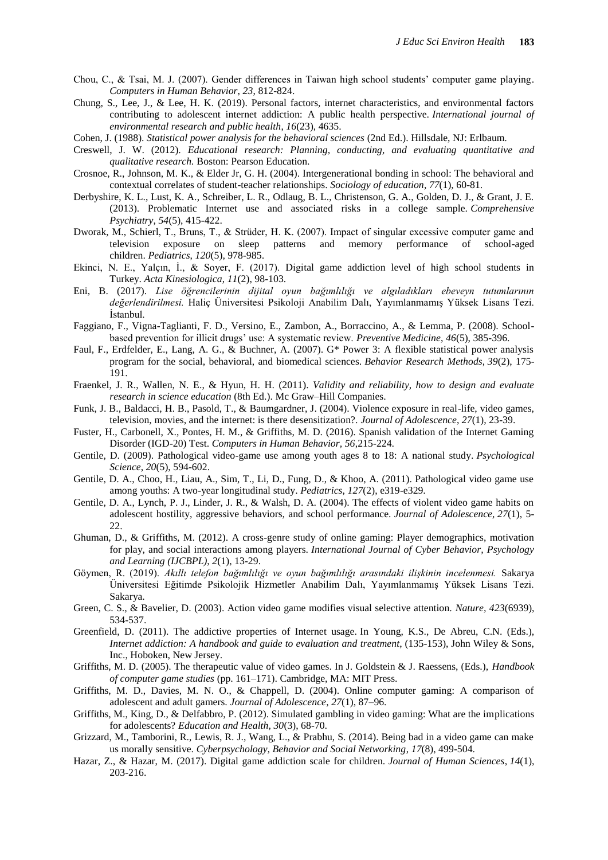- Chou, C., & Tsai, M. J. (2007). Gender differences in Taiwan high school students' computer game playing. *Computers in Human Behavior*, *23*, 812-824.
- Chung, S., Lee, J., & Lee, H. K. (2019). Personal factors, internet characteristics, and environmental factors contributing to adolescent internet addiction: A public health perspective. *International journal of environmental research and public health*, *16*(23), 4635.
- Cohen, J. (1988). *Statistical power analysis for the behavioral sciences* (2nd Ed.). Hillsdale, NJ: Erlbaum.
- Creswell, J. W. (2012). *Educational research: Planning, conducting, and evaluating quantitative and qualitative research.* Boston: Pearson Education.
- Crosnoe, R., Johnson, M. K., & Elder Jr, G. H. (2004). Intergenerational bonding in school: The behavioral and contextual correlates of student-teacher relationships. *Sociology of education*, *77*(1), 60-81.
- Derbyshire, K. L., Lust, K. A., Schreiber, L. R., Odlaug, B. L., Christenson, G. A., Golden, D. J., & Grant, J. E. (2013). Problematic Internet use and associated risks in a college sample. *Comprehensive Psychiatry*, *54*(5), 415-422.
- Dworak, M., Schierl, T., Bruns, T., & Strüder, H. K. (2007). Impact of singular excessive computer game and television exposure on sleep patterns and memory performance of school-aged children. *Pediatrics*, *120*(5), 978-985.
- Ekinci, N. E., Yalçın, İ., & Soyer, F. (2017). Digital game addiction level of high school students in Turkey. *Acta Kinesiologica*, *11*(2), 98-103.
- Eni, B. (2017). *Lise öğrencilerinin dijital oyun bağımlılığı ve algıladıkları ebeveyn tutumlarının değerlendirilmesi.* Haliç Üniversitesi Psikoloji Anabilim Dalı, Yayımlanmamış Yüksek Lisans Tezi. İstanbul.
- Faggiano, F., Vigna-Taglianti, F. D., Versino, E., Zambon, A., Borraccino, A., & Lemma, P. (2008). Schoolbased prevention for illicit drugs' use: A systematic review. *Preventive Medicine*, *46*(5), 385-396.
- Faul, F., Erdfelder, E., Lang, A. G., & Buchner, A. (2007). G\* Power 3: A flexible statistical power analysis program for the social, behavioral, and biomedical sciences. *Behavior Research Methods*, *39*(2), 175- 191.
- Fraenkel, J. R., Wallen, N. E., & Hyun, H. H. (2011). *Validity and reliability, how to design and evaluate research in science education* (8th Ed.). Mc Graw–Hill Companies.
- Funk, J. B., Baldacci, H. B., Pasold, T., & Baumgardner, J. (2004). Violence exposure in real-life, video games, television, movies, and the internet: is there desensitization?. *Journal of Adolescence*, *27*(1), 23-39.
- Fuster, H., Carbonell, X., Pontes, H. M., & Griffiths, M. D. (2016). Spanish validation of the Internet Gaming Disorder (IGD-20) Test. *Computers in Human Behavior, 56*,215-224.
- Gentile, D. (2009). Pathological video-game use among youth ages 8 to 18: A national study. *Psychological Science*, *20*(5), 594-602.
- Gentile, D. A., Choo, H., Liau, A., Sim, T., Li, D., Fung, D., & Khoo, A. (2011). Pathological video game use among youths: A two-year longitudinal study. *Pediatrics*, *127*(2), e319-e329.
- Gentile, D. A., Lynch, P. J., Linder, J. R., & Walsh, D. A. (2004). The effects of violent video game habits on adolescent hostility, aggressive behaviors, and school performance. *Journal of Adolescence*, *27*(1), 5- 22.
- Ghuman, D., & Griffiths, M. (2012). A cross-genre study of online gaming: Player demographics, motivation for play, and social interactions among players. *International Journal of Cyber Behavior, Psychology and Learning (IJCBPL)*, *2*(1), 13-29.
- Göymen, R. (2019). *Akıllı telefon bağımlılığı ve oyun bağımlılığı arasındaki ilişkinin incelenmesi.* Sakarya Üniversitesi Eğitimde Psikolojik Hizmetler Anabilim Dalı, Yayımlanmamış Yüksek Lisans Tezi. Sakarya.
- Green, C. S., & Bavelier, D. (2003). Action video game modifies visual selective attention. *Nature, 423*(6939), 534-537.
- Greenfield, D. (2011). The addictive properties of Internet usage. In Young, K.S., De Abreu, C.N. (Eds.), *Internet addiction: A handbook and guide to evaluation and treatment*, (135-153), John Wiley & Sons, Inc., Hoboken, New Jersey.
- Griffiths, M. D. (2005). The therapeutic value of video games. In J. Goldstein & J. Raessens, (Eds.), *Handbook of computer game studies* (pp. 161–171). Cambridge, MA: MIT Press.
- Griffiths, M. D., Davies, M. N. O., & Chappell, D. (2004). Online computer gaming: A comparison of adolescent and adult gamers. *Journal of Adolescence*, *27*(1), 87–96.
- Griffiths, M., King, D., & Delfabbro, P. (2012). Simulated gambling in video gaming: What are the implications for adolescents? *Education and Health, 30*(3), 68-70.
- Grizzard, M., Tamborini, R., Lewis, R. J., Wang, L., & Prabhu, S. (2014). Being bad in a video game can make us morally sensitive. *Cyberpsychology, Behavior and Social Networking*, *17*(8), 499-504.
- Hazar, Z., & Hazar, M. (2017). Digital game addiction scale for children. *Journal of Human Sciences*, *14*(1), 203-216.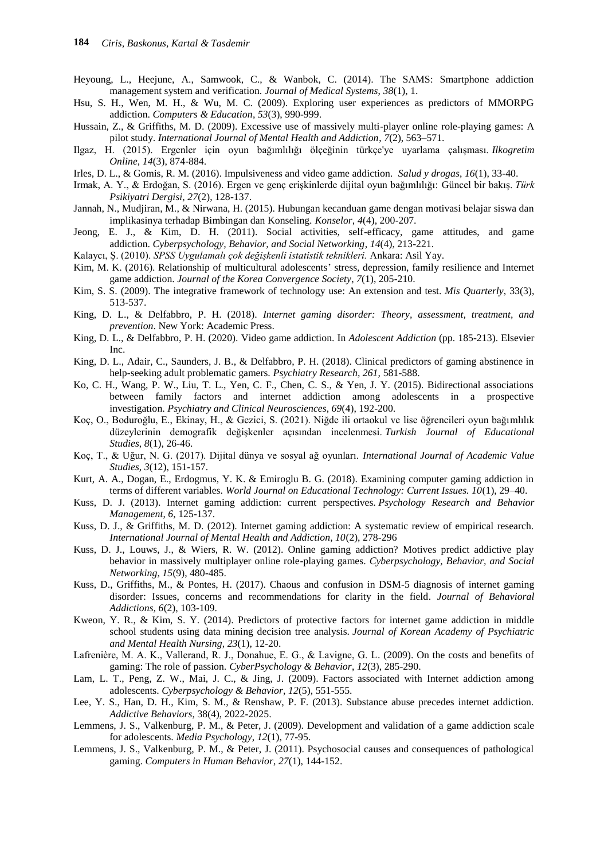- Heyoung, L., Heejune, A., Samwook, C., & Wanbok, C. (2014). The SAMS: Smartphone addiction management system and verification. *Journal of Medical Systems*, *38*(1), 1.
- Hsu, S. H., Wen, M. H., & Wu, M. C. (2009). Exploring user experiences as predictors of MMORPG addiction. *Computers & Education*, *53*(3), 990-999.
- Hussain, Z., & Griffiths, M. D. (2009). Excessive use of massively multi-player online role-playing games: A pilot study. *International Journal of Mental Health and Addiction*, *7*(2), 563–571.
- Ilgaz, H. (2015). Ergenler için oyun bağımlılığı ölçeğinin türkçe'ye uyarlama çalışması. *Ilkogretim Online*, *14*(3), 874-884.
- Irles, D. L., & Gomis, R. M. (2016). Impulsiveness and video game addiction. *Salud y drogas*, *16*(1), 33-40.
- Irmak, A. Y., & Erdoğan, S. (2016). Ergen ve genç erişkinlerde dijital oyun bağımlılığı: Güncel bir bakış. *Türk Psikiyatri Dergisi*, *27*(2), 128-137.
- Jannah, N., Mudjiran, M., & Nirwana, H. (2015). Hubungan kecanduan game dengan motivasi belajar siswa dan implikasinya terhadap Bimbingan dan Konseling. *Konselor*, *4*(4), 200-207.
- Jeong, E. J., & Kim, D. H. (2011). Social activities, self-efficacy, game attitudes, and game addiction. *Cyberpsychology, Behavior, and Social Networking*, *14*(4), 213-221.
- Kalaycı, Ş. (2010). *SPSS Uygulamalı çok değişkenli istatistik teknikleri.* Ankara: Asil Yay.
- Kim, M. K. (2016). Relationship of multicultural adolescents' stress, depression, family resilience and Internet game addiction. *Journal of the Korea Convergence Society*, *7*(1), 205-210.
- Kim, S. S. (2009). The integrative framework of technology use: An extension and test. *Mis Quarterly*, 33(3), 513-537.
- King, D. L., & Delfabbro, P. H. (2018). *Internet gaming disorder: Theory, assessment, treatment, and prevention*. New York: Academic Press.
- King, D. L., & Delfabbro, P. H. (2020). Video game addiction. In *Adolescent Addiction* (pp. 185-213). Elsevier Inc.
- King, D. L., Adair, C., Saunders, J. B., & Delfabbro, P. H. (2018). Clinical predictors of gaming abstinence in help-seeking adult problematic gamers. *Psychiatry Research, 261,* 581-588.
- Ko, C. H., Wang, P. W., Liu, T. L., Yen, C. F., Chen, C. S., & Yen, J. Y. (2015). Bidirectional associations between family factors and internet addiction among adolescents in a prospective investigation. *Psychiatry and Clinical Neurosciences*, *69*(4), 192-200.
- Koç, O., Boduroğlu, E., Ekinay, H., & Gezici, S. (2021). Niğde ili ortaokul ve lise öğrencileri oyun bağımlılık düzeylerinin demografik değişkenler açısından incelenmesi. *Turkish Journal of Educational Studies*, *8*(1), 26-46.
- Koç, T., & Uğur, N. G. (2017). Dijital dünya ve sosyal ağ oyunları. *International Journal of Academic Value Studies, 3*(12), 151-157.
- Kurt, A. A., Dogan, E., Erdogmus, Y. K. & Emiroglu B. G. (2018). Examining computer gaming addiction in terms of different variables. *World Journal on Educational Technology: Current Issues. 10*(1), 29–40.
- Kuss, D. J. (2013). Internet gaming addiction: current perspectives. *Psychology Research and Behavior Management*, *6*, 125-137.
- Kuss, D. J., & Griffiths, M. D. (2012). Internet gaming addiction: A systematic review of empirical research. *International Journal of Mental Health and Addiction, 10*(2), 278-296
- Kuss, D. J., Louws, J., & Wiers, R. W. (2012). Online gaming addiction? Motives predict addictive play behavior in massively multiplayer online role-playing games. *Cyberpsychology, Behavior, and Social Networking, 15*(9), 480-485.
- Kuss, D., Griffiths, M., & Pontes, H. (2017). Chaous and confusion in DSM-5 diagnosis of internet gaming disorder: Issues, concerns and recommendations for clarity in the field. *Journal of Behavioral Addictions, 6*(2), 103-109.
- Kweon, Y. R., & Kim, S. Y. (2014). Predictors of protective factors for internet game addiction in middle school students using data mining decision tree analysis. *Journal of Korean Academy of Psychiatric and Mental Health Nursing*, *23*(1), 12-20.
- Lafrenière, M. A. K., Vallerand, R. J., Donahue, E. G., & Lavigne, G. L. (2009). On the costs and benefits of gaming: The role of passion. *CyberPsychology & Behavior*, *12*(3), 285-290.
- Lam, L. T., Peng, Z. W., Mai, J. C., & Jing, J. (2009). Factors associated with Internet addiction among adolescents. *Cyberpsychology & Behavior*, *12*(5), 551-555.
- Lee, Y. S., Han, D. H., Kim, S. M., & Renshaw, P. F. (2013). Substance abuse precedes internet addiction. *Addictive Behaviors*, 38(4), 2022-2025.
- Lemmens, J. S., Valkenburg, P. M., & Peter, J. (2009). Development and validation of a game addiction scale for adolescents. *Media Psychology*, *12*(1), 77-95.
- Lemmens, J. S., Valkenburg, P. M., & Peter, J. (2011). Psychosocial causes and consequences of pathological gaming. *Computers in Human Behavior*, *27*(1), 144-152.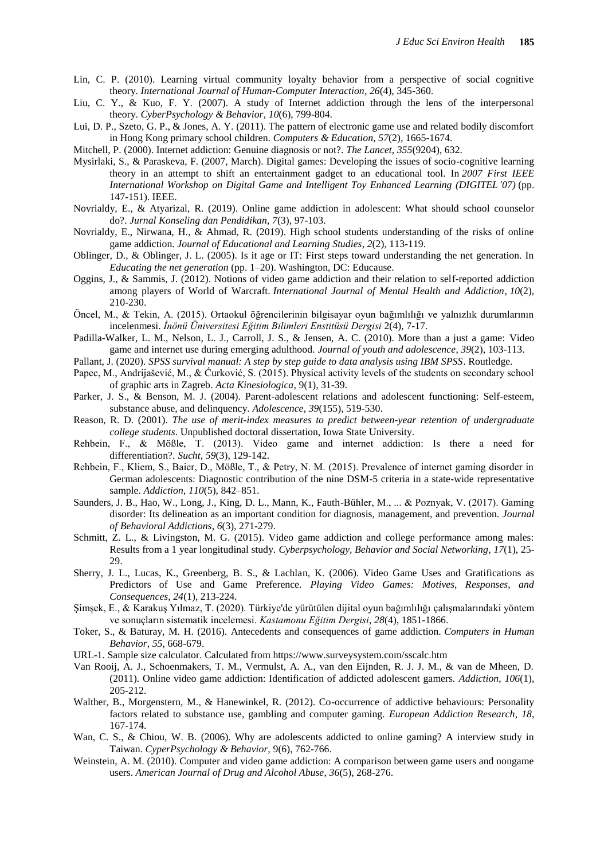- Lin, C. P. (2010). Learning virtual community loyalty behavior from a perspective of social cognitive theory. *International Journal of Human-Computer Interaction*, *26*(4), 345-360.
- Liu, C. Y., & Kuo, F. Y. (2007). A study of Internet addiction through the lens of the interpersonal theory. *CyberPsychology & Behavior*, *10*(6), 799-804.
- Lui, D. P., Szeto, G. P., & Jones, A. Y. (2011). The pattern of electronic game use and related bodily discomfort in Hong Kong primary school children. *Computers & Education*, *57*(2), 1665-1674.
- Mitchell, P. (2000). Internet addiction: Genuine diagnosis or not?. *The Lancet*, *355*(9204), 632.
- Mysirlaki, S., & Paraskeva, F. (2007, March). Digital games: Developing the issues of socio-cognitive learning theory in an attempt to shift an entertainment gadget to an educational tool. In *2007 First IEEE International Workshop on Digital Game and Intelligent Toy Enhanced Learning (DIGITEL'07)* (pp. 147-151). IEEE.
- Novrialdy, E., & Atyarizal, R. (2019). Online game addiction in adolescent: What should school counselor do?. *Jurnal Konseling dan Pendidikan*, *7*(3), 97-103.
- Novrialdy, E., Nirwana, H., & Ahmad, R. (2019). High school students understanding of the risks of online game addiction. *Journal of Educational and Learning Studies*, *2*(2), 113-119.
- Oblinger, D., & Oblinger, J. L. (2005). Is it age or IT: First steps toward understanding the net generation. In *Educating the net generation* (pp. 1–20). Washington, DC: Educause.
- Oggins, J., & Sammis, J. (2012). Notions of video game addiction and their relation to self-reported addiction among players of World of Warcraft. *International Journal of Mental Health and Addiction*, *10*(2), 210-230.
- Öncel, M., & Tekin, A. (2015). Ortaokul öğrencilerinin bilgisayar oyun bağımlılığı ve yalnızlık durumlarının incelenmesi. *İnönü Üniversitesi Eğitim Bilimleri Enstitüsü Dergisi* 2(4), 7-17.
- Padilla-Walker, L. M., Nelson, L. J., Carroll, J. S., & Jensen, A. C. (2010). More than a just a game: Video game and internet use during emerging adulthood. *Journal of youth and adolescence*, *39*(2), 103-113.
- Pallant, J. (2020). *SPSS survival manual: A step by step guide to data analysis using IBM SPSS*. Routledge.
- Papec, M., Andrijašević, M., & Ćurković, S. (2015). Physical activity levels of the students on secondary school of graphic arts in Zagreb. *Acta Kinesiologica*, 9(1), 31-39.
- Parker, J. S., & Benson, M. J. (2004). Parent-adolescent relations and adolescent functioning: Self-esteem, substance abuse, and delinquency. *Adolescence*, *39*(155), 519-530.
- Reason, R. D. (2001). *The use of merit-index measures to predict between-year retention of undergraduate college students*. Unpublished doctoral dissertation, Iowa State University.
- Rehbein, F., & Mößle, T. (2013). Video game and internet addiction: Is there a need for differentiation?. *Sucht*, *59*(3), 129-142.
- Rehbein, F., Kliem, S., Baier, D., Mößle, T., & Petry, N. M. (2015). Prevalence of internet gaming disorder in German adolescents: Diagnostic contribution of the nine DSM-5 criteria in a state-wide representative sample. *Addiction*, *110*(5), 842–851.
- Saunders, J. B., Hao, W., Long, J., King, D. L., Mann, K., Fauth-Bühler, M., ... & Poznyak, V. (2017). Gaming disorder: Its delineation as an important condition for diagnosis, management, and prevention. *Journal of Behavioral Addictions*, *6*(3), 271-279.
- Schmitt, Z. L., & Livingston, M. G. (2015). Video game addiction and college performance among males: Results from a 1 year longitudinal study. *Cyberpsychology, Behavior and Social Networking*, *17*(1), 25- 29.
- Sherry, J. L., Lucas, K., Greenberg, B. S., & Lachlan, K. (2006). Video Game Uses and Gratifications as Predictors of Use and Game Preference. *Playing Video Games: Motives, Responses, and Consequences, 24*(1), 213-224.
- Şimşek, E., & Karakuş Yılmaz, T. (2020). Türkiye'de yürütülen dijital oyun bağımlılığı çalışmalarındaki yöntem ve sonuçların sistematik incelemesi. *Kastamonu Eğitim Dergisi*, *28*(4), 1851-1866.
- Toker, S., & Baturay, M. H. (2016). Antecedents and consequences of game addiction. *Computers in Human Behavior*, *55*, 668-679.
- URL-1. Sample size calculator. Calculated from https://www.surveysystem.com/sscalc.htm
- Van Rooij, A. J., Schoenmakers, T. M., Vermulst, A. A., van den Eijnden, R. J. J. M., & van de Mheen, D. (2011). Online video game addiction: Identification of addicted adolescent gamers. *Addiction*, *106*(1), 205-212.
- Walther, B., Morgenstern, M., & Hanewinkel, R. (2012). Co-occurrence of addictive behaviours: Personality factors related to substance use, gambling and computer gaming. *European Addiction Research*, *18*, 167-174.
- Wan, C. S., & Chiou, W. B. (2006). Why are adolescents addicted to online gaming? A interview study in Taiwan. *CyperPsychology & Behavior,* 9(6), 762-766.
- Weinstein, A. M. (2010). Computer and video game addiction: A comparison between game users and nongame users. *American Journal of Drug and Alcohol Abuse*, *36*(5), 268-276.